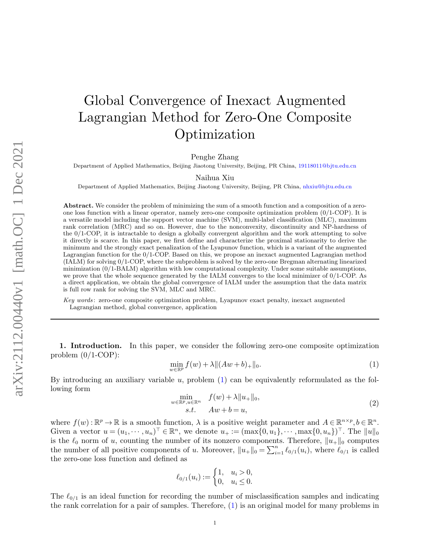## Global Convergence of Inexact Augmented Lagrangian Method for Zero-One Composite Optimization

Penghe Zhang

Department of Applied Mathematics, Beijing Jiaotong University, Beijing, PR China, [19118011@bjtu.edu.cn](mailto:19118011@bjtu.edu.cn)

Naihua Xiu

Department of Applied Mathematics, Beijing Jiaotong University, Beijing, PR China, [nhxiu@bjtu.edu.cn](mailto:nhxiu@bjtu.edu.cn)

Abstract. We consider the problem of minimizing the sum of a smooth function and a composition of a zeroone loss function with a linear operator, namely zero-one composite optimization problem (0/1-COP). It is a versatile model including the support vector machine (SVM), multi-label classification (MLC), maximum rank correlation (MRC) and so on. However, due to the nonconvexity, discontinuity and NP-hardness of the 0/1-COP, it is intractable to design a globally convergent algorithm and the work attempting to solve it directly is scarce. In this paper, we first define and characterize the proximal stationarity to derive the minimum and the strongly exact penalization of the Lyapunov function, which is a variant of the augmented Lagrangian function for the 0/1-COP. Based on this, we propose an inexact augmented Lagrangian method (IALM) for solving 0/1-COP, where the subproblem is solved by the zero-one Bregman alternating linearized minimization (0/1-BALM) algorithm with low computational complexity. Under some suitable assumptions, we prove that the whole sequence generated by the IALM converges to the local minimizer of 0/1-COP. As a direct application, we obtain the global convergence of IALM under the assumption that the data matrix is full row rank for solving the SVM, MLC and MRC.

Key words : zero-one composite optimization problem, Lyapunov exact penalty, inexact augmented Lagrangian method, global convergence, application

1. Introduction. In this paper, we consider the following zero-one composite optimization problem  $(0/1$ -COP):

<span id="page-0-0"></span>
$$
\min_{w \in \mathbb{R}^p} f(w) + \lambda \| (Aw + b)_+ \|_0. \tag{1}
$$

By introducing an auxiliary variable  $u$ , problem  $(1)$  can be equivalently reformulated as the following form

<span id="page-0-1"></span>
$$
\min_{\substack{w \in \mathbb{R}^p, u \in \mathbb{R}^n \\ s.t.}} f(w) + \lambda \|u_+\|_0,
$$
\n
$$
(2)
$$

where  $f(w): \mathbb{R}^p \to \mathbb{R}$  is a smooth function,  $\lambda$  is a positive weight parameter and  $A \in \mathbb{R}^{n \times p}, b \in \mathbb{R}^n$ . Given a vector  $u = (u_1, \dots, u_n)^\top \in \mathbb{R}^n$ , we denote  $u_+ := (\max\{0, u_1\}, \dots, \max\{0, u_n\})^\top$ . The  $||u||_0$ is the  $\ell_0$  norm of u, counting the number of its nonzero components. Therefore,  $||u_+||_0$  computes the number of all positive components of u. Moreover,  $||u_+||_0 = \sum_{i=1}^n \ell_{0/1}(u_i)$ , where  $\ell_{0/1}$  is called the zero-one loss function and defined as

$$
\ell_{0/1}(u_i) := \begin{cases} 1, & u_i > 0, \\ 0, & u_i \le 0. \end{cases}
$$

The  $\ell_{0/1}$  is an ideal function for recording the number of misclassification samples and indicating the rank correlation for a pair of samples. Therefore, [\(1\)](#page-0-0) is an original model for many problems in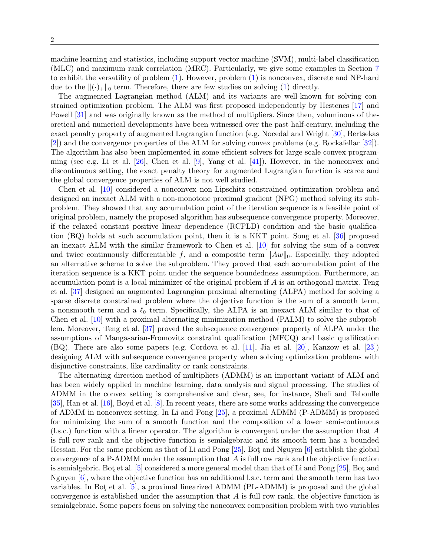machine learning and statistics, including support vector machine (SVM), multi-label classification (MLC) and maximum rank correlation (MRC). Particularly, we give some examples in Section [7](#page-25-0) to exhibit the versatility of problem [\(1\)](#page-0-0). However, problem [\(1\)](#page-0-0) is nonconvex, discrete and NP-hard due to the  $\|(\cdot)_+\|_0$  term. Therefore, there are few studies on solving [\(1\)](#page-0-0) directly.

The augmented Lagrangian method (ALM) and its variants are well-known for solving constrained optimization problem. The ALM was first proposed independently by Hestenes [\[17\]](#page-28-0) and Powell [\[31\]](#page-29-0) and was originally known as the method of multipliers. Since then, voluminous of theoretical and numerical developments have been witnessed over the past half-century, including the exact penalty property of augmented Lagrangian function (e.g. Nocedal and Wright [\[30\]](#page-29-1), Bertsekas [\[2\]](#page-28-1)) and the convergence properties of the ALM for solving convex problems (e.g. Rockafellar [\[32\]](#page-29-2)). The algorithm has also been implemented in some efficient solvers for large-scale convex programming (see e.g. Li et al.  $[26]$ , Chen et al.  $[9]$ , Yang et al.  $[41]$ ). However, in the nonconvex and discontinuous setting, the exact penalty theory for augmented Lagrangian function is scarce and the global convergence properties of ALM is not well studied.

Chen et al. [\[10\]](#page-28-3) considered a nonconvex non-Lipschitz constrained optimization problem and designed an inexact ALM with a non-monotone proximal gradient (NPG) method solving its subproblem. They showed that any accumulation point of the iteration sequence is a feasible point of original problem, namely the proposed algorithm has subsequence convergence property. Moreover, if the relaxed constant positive linear dependence (RCPLD) condition and the basic qualification (BQ) holds at such accumulation point, then it is a KKT point. Song et al. [\[36\]](#page-29-5) proposed an inexact ALM with the similar framework to Chen et al. [\[10\]](#page-28-3) for solving the sum of a convex and twice continuously differentiable f, and a composite term  $||Aw||_0$ . Especially, they adopted an alternative scheme to solve the subproblem. They proved that each accumulation point of the iteration sequence is a KKT point under the sequence boundedness assumption. Furthermore, an accumulation point is a local minimizer of the original problem if  $A$  is an orthogonal matrix. Teng et al. [\[37\]](#page-29-6) designed an augmented Lagrangian proximal alternating (ALPA) method for solving a sparse discrete constrained problem where the objective function is the sum of a smooth term, a nonsmooth term and a  $\ell_0$  term. Specifically, the ALPA is an inexact ALM similar to that of Chen et al. [\[10\]](#page-28-3) with a proximal alternating minimization method (PALM) to solve the subproblem. Moreover, Teng et al. [\[37\]](#page-29-6) proved the subsequence convergence property of ALPA under the assumptions of Mangasarian-Fromovitz constraint qualification (MFCQ) and basic qualification (BQ). There are also some papers (e.g. Cordova et al. [\[11\]](#page-28-4), Jia et al. [\[20\]](#page-28-5), Kanzow et al. [\[23\]](#page-29-7)) designing ALM with subsequence convergence property when solving optimization problems with disjunctive constraints, like cardinality or rank constraints.

The alternating direction method of multipliers (ADMM) is an important variant of ALM and has been widely applied in machine learning, data analysis and signal processing. The studies of ADMM in the convex setting is comprehensive and clear, see, for instance, Shefi and Teboulle [\[35\]](#page-29-8), Han et al. [\[16\]](#page-28-6), Boyd et al. [\[8\]](#page-28-7). In recent years, there are some works addressing the convergence of ADMM in nonconvex setting. In Li and Pong [\[25\]](#page-29-9), a proximal ADMM (P-ADMM) is proposed for minimizing the sum of a smooth function and the composition of a lower semi-continuous (l.s.c.) function with a linear operator. The algorithm is convergent under the assumption that A is full row rank and the objective function is semialgebraic and its smooth term has a bounded Hessian. For the same problem as that of Li and Pong  $[25]$ , Bot and Nguyen  $[6]$  establish the global convergence of a P-ADMM under the assumption that  $A$  is full row rank and the objective function is semialgebric. Bot et al.  $[5]$  considered a more general model than that of Li and Pong  $[25]$ , Bot and Nguyen [\[6\]](#page-28-8), where the objective function has an additional l.s.c. term and the smooth term has two variables. In Bot et al. [\[5\]](#page-28-9), a proximal linearized ADMM (PL-ADMM) is proposed and the global convergence is established under the assumption that  $A$  is full row rank, the objective function is semialgebraic. Some papers focus on solving the nonconvex composition problem with two variables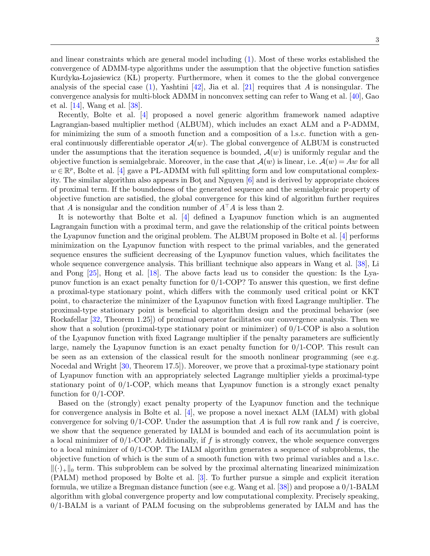and linear constraints which are general model including [\(1\)](#page-0-0). Most of these works established the convergence of ADMM-type algorithms under the assumption that the objective function satisfies Kurdyka-Lojasiewicz (KL) property. Furthermore, when it comes to the the global convergence analysis of the special case [\(1\)](#page-0-0), Yashtini [\[42\]](#page-29-10), Jia et al. [\[21\]](#page-28-10) requires that A is nonsingular. The convergence analysis for multi-block ADMM in nonconvex setting can refer to Wang et al. [\[40\]](#page-29-11), Gao et al. [\[14\]](#page-28-11), Wang et al. [\[38\]](#page-29-12).

Recently, Bolte et al. [\[4\]](#page-28-12) proposed a novel generic algorithm framework named adaptive Lagrangian-based multiplier method (ALBUM), which includes an exact ALM and a P-ADMM, for minimizing the sum of a smooth function and a composition of a l.s.c. function with a general continuously differentiable operator  $\mathcal{A}(w)$ . The global convergence of ALBUM is constructed under the assumptions that the iteration sequence is bounded,  $\mathcal{A}(w)$  is uniformly regular and the objective function is semialgebraic. Moreover, in the case that  $\mathcal{A}(w)$  is linear, i.e.  $\mathcal{A}(w) = Aw$  for all  $w \in \mathbb{R}^p$ , Bolte et al. [\[4\]](#page-28-12) gave a PL-ADMM with full splitting form and low computational complexity. The similar algorithm also appears in Bot¸ and Nguyen [\[6\]](#page-28-8) and is derived by appropriate choices of proximal term. If the boundedness of the generated sequence and the semialgebraic property of objective function are satisfied, the global convergence for this kind of algorithm further requires that A is nonsigular and the condition number of  $A^{\top}A$  is less than 2.

It is noteworthy that Bolte et al. [\[4\]](#page-28-12) defined a Lyapunov function which is an augmented Lagrangain function with a proximal term, and gave the relationship of the critical points between the Lyapunov function and the original problem. The ALBUM proposed in Bolte et al. [\[4\]](#page-28-12) performs minimization on the Lyapunov function with respect to the primal variables, and the generated sequence ensures the sufficient decreasing of the Lyapunov function values, which facilitates the whole sequence convergence analysis. This brilliant technique also appears in Wang et al. [\[38\]](#page-29-12), Li and Pong [\[25\]](#page-29-9), Hong et al. [\[18\]](#page-28-13). The above facts lead us to consider the question: Is the Lyapunov function is an exact penalty function for 0/1-COP? To answer this question, we first define a proximal-type stationary point, which differs with the commonly used critical point or KKT point, to characterize the minimizer of the Lyapunov function with fixed Lagrange multiplier. The proximal-type stationary point is beneficial to algorithm design and the proximal behavior (see Rockafellar [\[32,](#page-29-2) Theorem 1.25]) of proximal operator facilitates our convergence analysis. Then we show that a solution (proximal-type stationary point or minimizer) of  $0/1$ -COP is also a solution of the Lyapunov function with fixed Lagrange multiplier if the penalty parameters are sufficiently large, namely the Lyapunov function is an exact penalty function for 0/1-COP. This result can be seen as an extension of the classical result for the smooth nonlinear programming (see e.g. Nocedal and Wright [\[30,](#page-29-1) Theorem 17.5]). Moreover, we prove that a proximal-type stationary point of Lyapunov function with an appropriately selected Lagrange multiplier yields a proximal-type stationary point of  $0/1$ -COP, which means that Lyapunov function is a strongly exact penalty function for 0/1-COP.

Based on the (strongly) exact penalty property of the Lyapunov function and the technique for convergence analysis in Bolte et al. [\[4\]](#page-28-12), we propose a novel inexact ALM (IALM) with global convergence for solving  $0/1$ -COP. Under the assumption that A is full row rank and f is coercive, we show that the sequence generated by IALM is bounded and each of its accumulation point is a local minimizer of  $0/1$ -COP. Additionally, if f is strongly convex, the whole sequence converges to a local minimizer of 0/1-COP. The IALM algorithm generates a sequence of subproblems, the objective function of which is the sum of a smooth function with two primal variables and a l.s.c.  $\|\cdot\|_{\text{L}}\|$  term. This subproblem can be solved by the proximal alternating linearized minimization (PALM) method proposed by Bolte et al. [\[3\]](#page-28-14). To further pursue a simple and explicit iteration formula, we utilize a Bregman distance function (see e.g. Wang et al. [\[38\]](#page-29-12)) and propose a 0/1-BALM algorithm with global convergence property and low computational complexity. Precisely speaking, 0/1-BALM is a variant of PALM focusing on the subproblems generated by IALM and has the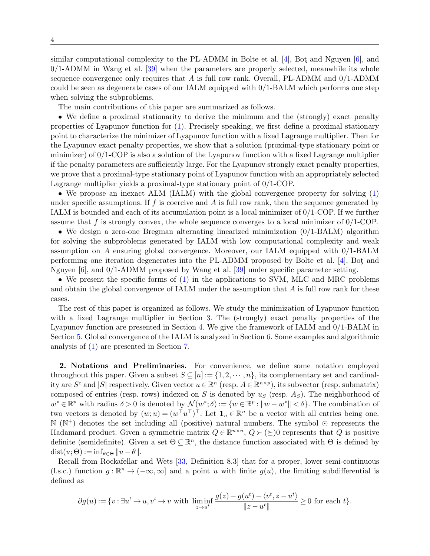similar computational complexity to the PL-ADMM in Bolte et al.  $[4]$ , Bot and Nguyen  $[6]$ , and  $0/1$ -ADMM in Wang et al. [\[39\]](#page-29-13) when the parameters are properly selected, meanwhile its whole sequence convergence only requires that  $A$  is full row rank. Overall, PL-ADMM and  $0/1$ -ADMM could be seen as degenerate cases of our IALM equipped with 0/1-BALM which performs one step when solving the subproblems.

The main contributions of this paper are summarized as follows.

• We define a proximal stationarity to derive the minimum and the (strongly) exact penalty properties of Lyapunov function for [\(1\)](#page-0-0). Precisely speaking, we first define a proximal stationary point to characterize the minimizer of Lyapunov function with a fixed Lagrange multiplier. Then for the Lyapunov exact penalty properties, we show that a solution (proximal-type stationary point or minimizer) of 0/1-COP is also a solution of the Lyapunov function with a fixed Lagrange multiplier if the penalty parameters are sufficiently large. For the Lyapunov strongly exact penalty properties, we prove that a proximal-type stationary point of Lyapunov function with an appropriately selected Lagrange multiplier yields a proximal-type stationary point of 0/1-COP.

• We propose an inexact ALM (IALM) with the global convergence property for solving [\(1\)](#page-0-0) under specific assumptions. If f is coercive and A is full row rank, then the sequence generated by IALM is bounded and each of its accumulation point is a local minimizer of 0/1-COP. If we further assume that f is strongly convex, the whole sequence converges to a local minimizer of  $0/1$ -COP.

• We design a zero-one Bregman alternating linearized minimization  $(0/1-BALM)$  algorithm for solving the subproblems generated by IALM with low computational complexity and weak assumption on A ensuring global convergence. Moreover, our IALM equipped with 0/1-BALM performing one iteration degenerates into the PL-ADMM proposed by Bolte et al. [\[4\]](#page-28-12), Bot¸ and Nguyen [\[6\]](#page-28-8), and 0/1-ADMM proposed by Wang et al. [\[39\]](#page-29-13) under specific parameter setting.

• We present the specific forms of [\(1\)](#page-0-0) in the applications to SVM, MLC and MRC problems and obtain the global convergence of IALM under the assumption that A is full row rank for these cases.

The rest of this paper is organized as follows. We study the minimization of Lyapunov function with a fixed Lagrange multiplier in Section [3.](#page-4-0) The (strongly) exact penalty properties of the Lyapunov function are presented in Section [4.](#page-10-0) We give the framework of IALM and 0/1-BALM in Section [5.](#page-12-0) Global convergence of the IALM is analyzed in Section [6.](#page-20-0) Some examples and algorithmic analysis of [\(1\)](#page-0-0) are presented in Section [7.](#page-25-0)

2. Notations and Preliminaries. For convenience, we define some notation employed throughout this paper. Given a subset  $S \subseteq [n] := \{1, 2, \dots, n\}$ , its complementary set and cardinality are  $S^c$  and  $|S|$  respectively. Given vector  $u \in \mathbb{R}^n$  (resp.  $A \in \mathbb{R}^{n \times p}$ ), its subvector (resp. submatrix) composed of entries (resp. rows) indexed on S is denoted by  $u<sub>S</sub>$  (resp.  $A<sub>S</sub>$ ). The neighborhood of  $w^* \in \mathbb{R}^p$  with radius  $\delta > 0$  is denoted by  $\mathcal{N}(w^*; \delta) := \{w \in \mathbb{R}^p : ||w - w^*|| < \delta\}$ . The combination of two vectors is denoted by  $(w;u) = (w^{\top}u^{\top})^{\top}$ . Let  $\mathbf{1}_n \in \mathbb{R}^n$  be a vector with all entries being one.  $\mathbb{N}$  ( $\mathbb{N}^+$ ) denotes the set including all (positive) natural numbers. The symbol  $\odot$  represents the Hadamard product. Given a symmetric matrix  $Q \in \mathbb{R}^{n \times n}$ ,  $Q \succ (\succeq)0$  represents that Q is positive definite (semidefinite). Given a set  $\Theta \subseteq \mathbb{R}^n$ , the distance function associated with  $\Theta$  is defined by  $dist(u; \Theta) := \inf_{\theta \in \Theta} ||u - \theta||.$ 

Recall from Rockafellar and Wets [\[33,](#page-29-14) Definition 8.3] that for a proper, lower semi-continuous (l.s.c.) function  $g : \mathbb{R}^n \to (-\infty, \infty]$  and a point u with finite  $g(u)$ , the limiting subdifferential is defined as

<span id="page-3-0"></span>
$$
\partial g(u) := \{v : \exists u^t \to u, v^t \to v \text{ with } \liminf_{z \to u^t} \frac{g(z) - g(u^t) - \langle v^t, z - u^t \rangle}{\|z - u^t\|} \ge 0 \text{ for each } t\}.
$$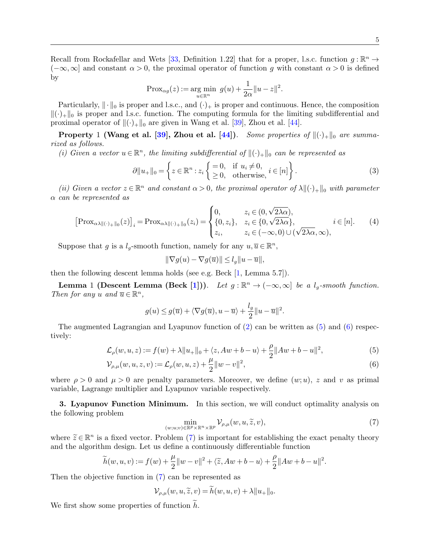Recall from Rockafellar and Wets [\[33,](#page-29-14) Definition 1.22] that for a proper, l.s.c. function  $g : \mathbb{R}^n \to$  $(-\infty,\infty]$  and constant  $\alpha > 0$ , the proximal operator of function g with constant  $\alpha > 0$  is defined by

$$
\operatorname{Prox}_{\alpha g}(z):=\mathop{\operatorname{arg~min}}\limits_{u\in\mathbb{R}^n}~g(u)+\frac{1}{2\alpha}\|u-z\|^2.
$$

Particularly,  $\|\cdot\|_0$  is proper and l.s.c., and  $(\cdot)_+$  is proper and continuous. Hence, the composition  $\|(\cdot)_{+}\|_{0}$  is proper and l.s.c. function. The computing formula for the limiting subdifferential and proximal operator of  $\|(\cdot)_+\|_0$  are given in Wang et al. [\[39\]](#page-29-13), Zhou et al. [\[44\]](#page-29-15).

**Property** 1 (Wang et al. [\[39\]](#page-29-13), Zhou et al. [\[44\]](#page-29-15)). Some properties of  $\|(\cdot)_+\|_0$  are summarized as follows.

(i) Given a vector  $u \in \mathbb{R}^n$ , the limiting subdifferential of  $\|\langle \cdot \rangle_{+}\|_{0}$  can be represented as

$$
\partial \|u_{+}\|_{0} = \left\{ z \in \mathbb{R}^{n} : z_{i} \left\{ \begin{array}{c} = 0, & \text{if } u_{i} \neq 0, \\ \geq 0, & \text{otherwise,} \end{array} i \in [n] \right\}. \tag{3}
$$

(ii) Given a vector  $z \in \mathbb{R}^n$  and constant  $\alpha > 0$ , the proximal operator of  $\lambda \|(\cdot)_{+}\|_{0}$  with parameter α can be represented as

<span id="page-4-6"></span>
$$
\left[\text{Prox}_{\alpha\lambda\parallel(\cdot)+\parallel_{0}}(z)\right]_{i} = \text{Prox}_{\alpha\lambda\parallel(\cdot)+\parallel_{0}}(z_{i}) = \begin{cases} 0, & z_{i} \in (0,\sqrt{2\lambda\alpha}), \\ \{0,z_{i}\}, & z_{i} \in \{0,\sqrt{2\lambda\alpha}\}, \\ z_{i}, & z_{i} \in (-\infty,0) \cup (\sqrt{2\lambda\alpha},\infty), \end{cases} i \in [n]. \tag{4}
$$

Suppose that g is a  $l_g$ -smooth function, namely for any  $u, \overline{u} \in \mathbb{R}^n$ ,

<span id="page-4-7"></span><span id="page-4-1"></span>
$$
\|\nabla g(u) - \nabla g(\overline{u})\| \le l_g \|u - \overline{u}\|,
$$

then the following descent lemma holds (see e.g. Beck [\[1,](#page-28-15) Lemma 5.7]).

**Lemma** 1 (Descent Lemma (Beck [\[1\]](#page-28-15))). Let  $g : \mathbb{R}^n \to (-\infty, \infty]$  be a  $l_g$ -smooth function. Then for any u and  $\overline{u} \in \mathbb{R}^n$ ,

$$
g(u) \le g(\overline{u}) + \langle \nabla g(\overline{u}), u - \overline{u} \rangle + \frac{l_g}{2} ||u - \overline{u}||^2.
$$

The augmented Lagrangian and Lyapunov function of  $(2)$  can be written as  $(5)$  and  $(6)$  respectively:

$$
\mathcal{L}_{\rho}(w, u, z) := f(w) + \lambda \|u_{+}\|_{0} + \langle z, Aw + b - u \rangle + \frac{\rho}{2} \|Aw + b - u\|^{2},
$$
\n(5)

$$
\mathcal{V}_{\rho,\mu}(w,u,z,v) := \mathcal{L}_{\rho}(w,u,z) + \frac{\mu}{2} ||w - v||^2,
$$
\n(6)

where  $\rho > 0$  and  $\mu > 0$  are penalty parameters. Moreover, we define  $(w; u)$ , z and v as primal variable, Lagrange multiplier and Lyapunov variable respectively.

<span id="page-4-0"></span>**3. Lyapunov Function Minimum.** In this section, we will conduct optimality analysis on the following problem

<span id="page-4-3"></span><span id="page-4-2"></span>
$$
\min_{(w,u,v)\in\mathbb{R}^p\times\mathbb{R}^n\times\mathbb{R}^p} \mathcal{V}_{\rho,\mu}(w,u,\widetilde{z},v),\tag{7}
$$

where  $\widetilde{z} \in \mathbb{R}^n$  is a fixed vector. Problem [\(7\)](#page-4-3) is important for establishing the exact penalty theory<br>and the algorithm design. Let us define a continuously differentiable function and the algorithm design. Let us define a continuously differentiable function

<span id="page-4-4"></span>
$$
\widetilde{h}(w, u, v) := f(w) + \frac{\mu}{2} ||w - v||^2 + \langle \widetilde{z}, Aw + b - u \rangle + \frac{\rho}{2} ||Aw + b - u||^2.
$$

Then the objective function in [\(7\)](#page-4-3) can be represented as

<span id="page-4-5"></span>
$$
\mathcal{V}_{\rho,\mu}(w,u,\widetilde{z},v) = h(w,u,v) + \lambda \|u_+\|_0.
$$

We first show some properties of function  $h$ .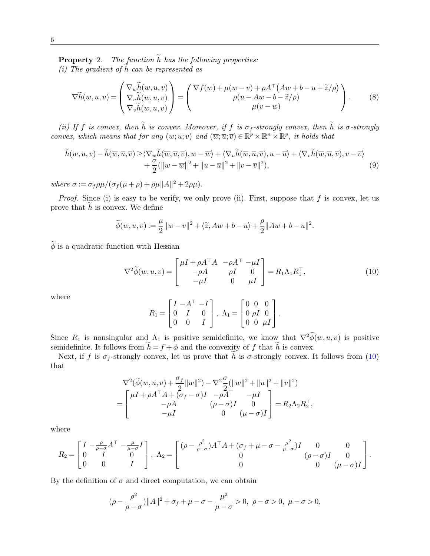**Property** 2. The function  $\widetilde{h}$  has the following properties:

(i) The gradient of  $\tilde{h}$  can be represented as

$$
\nabla \widetilde{h}(w, u, v) = \begin{pmatrix} \nabla_w \widetilde{h}(w, u, v) \\ \nabla_u \widetilde{h}(w, u, v) \\ \nabla_v \widetilde{h}(w, u, v) \end{pmatrix} = \begin{pmatrix} \nabla f(w) + \mu(w - v) + \rho A^\top (A w + b - u + \widetilde{z}/\rho) \\ \rho(u - A w - b - \widetilde{z}/\rho) \\ \mu(v - w) \end{pmatrix}.
$$
 (8)

(ii) If f is convex, then  $\widetilde{h}$  is convex. Moreover, if f is  $\sigma_f$ -strongly convex, then  $\widetilde{h}$  is  $\sigma$ -strongly convex, which means that for any  $(w; u; v)$  and  $(\overline{w}; \overline{u}; \overline{v}) \in \mathbb{R}^p \times \mathbb{R}^n \times \mathbb{R}^p$ , it holds that

$$
\widetilde{h}(w, u, v) - \widetilde{h}(\overline{w}, \overline{u}, \overline{v}) \ge \langle \nabla_{w} \widetilde{h}(\overline{w}, \overline{u}, \overline{v}), w - \overline{w} \rangle + \langle \nabla_{u} \widetilde{h}(\overline{w}, \overline{u}, \overline{v}), u - \overline{u} \rangle + \langle \nabla_{v} \widetilde{h}(\overline{w}, \overline{u}, \overline{v}), v - \overline{v} \rangle + \frac{\sigma}{2} (\|w - \overline{w}\|^{2} + \|u - \overline{u}\|^{2} + \|v - \overline{v}\|^{2}),
$$
\n(9)

where  $\sigma := \frac{\sigma_f \rho \mu}{(\sigma_f(\mu + \rho) + \rho \mu ||A||^2 + 2\rho \mu)}$ .

*Proof.* Since (i) is easy to be verify, we only prove (ii). First, suppose that  $f$  is convex, let us prove that  $h$  is convex. We define

<span id="page-5-0"></span>
$$
\widetilde{\phi}(w,u,v):=\frac{\mu}{2}\|w-v\|^2+\langle\widetilde{z},Aw+b-u\rangle+\frac{\rho}{2}\|Aw+b-u\|^2.
$$

 $\widetilde{\phi}$  is a quadratic function with Hessian

$$
\nabla^2 \widetilde{\phi}(w, u, v) = \begin{bmatrix} \mu I + \rho A^\top A & -\rho A^\top - \mu I \\ -\rho A & \rho I & 0 \\ -\mu I & 0 & \mu I \end{bmatrix} = R_1 \Lambda_1 R_1^\top,
$$
(10)

where

<span id="page-5-2"></span><span id="page-5-1"></span>
$$
R_1 = \begin{bmatrix} I & -A^{\top} & -I \\ 0 & I & 0 \\ 0 & 0 & I \end{bmatrix}, \ \Lambda_1 = \begin{bmatrix} 0 & 0 & 0 \\ 0 & \rho I & 0 \\ 0 & 0 & \mu I \end{bmatrix}.
$$

Since  $R_1$  is nonsingular and  $\Lambda_1$  is positive semidefinite, we know that  $\nabla^2 \widetilde{\phi}(w, u, v)$  is positive semidefinite. It follows from  $h = f + \phi$  and the convexity of f that h is convex.

Next, if f is  $\sigma_f$ -strongly convex, let us prove that h is  $\sigma$ -strongly convex. It follows from [\(10\)](#page-5-0) that

$$
\nabla^2 (\widetilde{\phi}(w, u, v) + \frac{\sigma_f}{2} ||w||^2) - \nabla^2 \frac{\sigma}{2} (||w||^2 + ||u||^2 + ||v||^2)
$$
  
= 
$$
\begin{bmatrix} \mu I + \rho A^\top A + (\sigma_f - \sigma)I & -\rho A^\top & -\mu I \\ -\rho A & (\rho - \sigma)I & 0 \\ -\mu I & 0 & (\mu - \sigma)I \end{bmatrix} = R_2 \Lambda_2 R_2^\top,
$$

where

$$
R_2 = \begin{bmatrix} I & -\frac{\rho}{\rho - \sigma} A^\top & -\frac{\mu}{\mu - \sigma} I \\ 0 & I & 0 \\ 0 & 0 & I \end{bmatrix}, \ \Lambda_2 = \begin{bmatrix} (\rho - \frac{\rho^2}{\rho - \sigma}) A^\top A + (\sigma_f + \mu - \sigma - \frac{\mu^2}{\mu - \sigma}) I & 0 & 0 \\ 0 & (\rho - \sigma) I & 0 \\ 0 & 0 & (\mu - \sigma) I \end{bmatrix}.
$$

By the definition of  $\sigma$  and direct computation, we can obtain

$$
(\rho - \frac{\rho^2}{\rho - \sigma}) ||A||^2 + \sigma_f + \mu - \sigma - \frac{\mu^2}{\mu - \sigma} > 0, \ \rho - \sigma > 0, \ \mu - \sigma > 0,
$$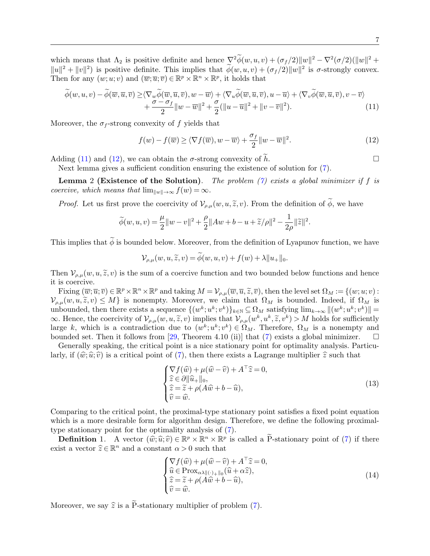which means that  $\Lambda_2$  is positive definite and hence  $\nabla^2 \phi(w, u, v) + (\sigma_f/2) \|w\|^2 - \nabla^2 (\sigma/2) (\|w\|^2 +$  $||u||^2 + ||v||^2$ ) is positive definite. This implies that  $\phi(w, u, v) + (\sigma_f/2)||w||^2$  is  $\sigma$ -strongly convex. Then for any  $(w;u;v)$  and  $(\overline{w};\overline{u};\overline{v}) \in \mathbb{R}^p \times \mathbb{R}^n \times \mathbb{R}^p$ , it holds that

$$
\widetilde{\phi}(w, u, v) - \widetilde{\phi}(\overline{w}, \overline{u}, \overline{v}) \ge \langle \nabla_w \widetilde{\phi}(\overline{w}, \overline{u}, \overline{v}), w - \overline{w} \rangle + \langle \nabla_u \widetilde{\phi}(\overline{w}, \overline{u}, \overline{v}), u - \overline{u} \rangle + \langle \nabla_v \widetilde{\phi}(\overline{w}, \overline{u}, \overline{v}), v - \overline{v} \rangle + \frac{\sigma - \sigma_f}{2} ||w - \overline{w}||^2 + \frac{\sigma}{2} (||u - \overline{u}||^2 + ||v - \overline{v}||^2).
$$
\n(11)

Moreover, the  $\sigma_f$ -strong convexity of f yields that

<span id="page-6-0"></span>
$$
f(w) - f(\overline{w}) \ge \langle \nabla f(\overline{w}), w - \overline{w} \rangle + \frac{\sigma_f}{2} ||w - \overline{w}||^2.
$$
 (12)

Adding [\(11\)](#page-5-1) and [\(12\)](#page-6-0), we can obtain the  $\sigma$ -strong convexity of  $\tilde{h}$ .

Next lemma gives a sufficient condition ensuring the existence of solution for [\(7\)](#page-4-3).

**Lemma** 2 (Existence of the Solution). The problem [\(7\)](#page-4-3) exists a global minimizer if f is coercive, which means that  $\lim_{\|w\| \to \infty} f(w) = \infty$ .

*Proof.* Let us first prove the coercivity of  $\mathcal{V}_{\rho,\mu}(w, u, \tilde{z}, v)$ . From the definition of  $\tilde{\phi}$ , we have

$$
\widetilde{\phi}(w,u,v)=\frac{\mu}{2}\|w-v\|^2+\frac{\rho}{2}\|Aw+b-u+\widetilde{z}/\rho\|^2-\frac{1}{2\rho}\|\widetilde{z}\|^2.
$$

This implies that  $\widetilde{\phi}$  is bounded below. Moreover, from the definition of Lyapunov function, we have

$$
\mathcal{V}_{\rho,\mu}(w,u,\widetilde{z},v) = \widetilde{\phi}(w,u,v) + f(w) + \lambda \|u_+\|_0.
$$

Then  $\mathcal{V}_{\rho,\mu}(w, u, \tilde{\chi}, v)$  is the sum of a coercive function and two bounded below functions and hence it is coercive.

Fixing  $(\overline{w}; \overline{u}; \overline{v}) \in \mathbb{R}^p \times \mathbb{R}^n \times \mathbb{R}^p$  and taking  $M = \mathcal{V}_{\rho,\mu}(\overline{w}, \overline{u}, \widetilde{z}, \overline{v})$ , then the level set  $\Omega_M := \{(w; u; v) :$ <br> $(w, u, \widetilde{z}, v) \leq M\}$  is nonempty. Moreover, we claim that  $\Omega_{\gamma,\nu}$  is ho  $\mathcal{V}_{\rho,\mu}(w,u,\widetilde{z},v) \leq M$  is nonempty. Moreover, we claim that  $\Omega_M$  is bounded. Indeed, if  $\Omega_M$  is unbounded, then there exists a sequence  $\{(w^k; u^k; v^k)\}_{k\in\mathbb{N}} \subseteq \Omega_M$  satisfying  $\lim_{k\to\infty} \|(w^k; u^k; v^k)\|$  $\infty$ . Hence, the coercivity of  $\mathcal{V}_{\rho,\mu}(w, u, \tilde{z}, v)$  implies that  $\mathcal{V}_{\rho,\mu}(w^k, u^k, \tilde{z}, v^k) > M$  holds for sufficiently large k, which is a contradiction due to  $(w^k; u^k; v^k) \in \Omega_M$ . Therefore,  $\Omega_M$  is a nonempty and bounded set. Then it follows from [\[29,](#page-29-16) Theorem 4.10 (ii)] that [\(7\)](#page-4-3) exists a global minimizer.

Generally speaking, the critical point is a nice stationary point for optimality analysis. Particularly, if  $(\hat{w}; \hat{u}; \hat{v})$  is a critical point of [\(7\)](#page-4-3), then there exists a Lagrange multiplier  $\hat{z}$  such that

<span id="page-6-1"></span>
$$
\begin{cases} \nabla f(\widehat{w}) + \mu(\widehat{w} - \widehat{v}) + A^{\top}\widehat{z} = 0, \\ \n\widehat{z} \in \partial \|\widehat{u}_{+}\|_{0}, \\ \n\widehat{z} = \widetilde{z} + \rho(A\widehat{w} + b - \widehat{u}), \\ \n\widehat{v} = \widehat{w}. \n\end{cases} \tag{13}
$$

Comparing to the critical point, the proximal-type stationary point satisfies a fixed point equation which is a more desirable form for algorithm design. Therefore, we define the following proximaltype stationary point for the optimality analysis of [\(7\)](#page-4-3).

**Definition** 1. A vector  $(\widehat{w}; \widehat{u}; \widehat{v}) \in \mathbb{R}^p \times \mathbb{R}^n \times \mathbb{R}^p$  is called a  $\widetilde{P}$ -stationary point of ([7\)](#page-4-3) if there is a vector  $\widehat{\kappa} \subset \mathbb{R}^n$  and a constant  $\alpha > 0$  such that exist a vector  $\hat{z} \in \mathbb{R}^n$  and a constant  $\alpha > 0$  such that

<span id="page-6-2"></span>
$$
\begin{cases} \nabla f(\widehat{w}) + \mu(\widehat{w} - \widehat{v}) + A^{\top}\widehat{z} = 0, \\ \n\widehat{u} \in \text{Prox}_{\alpha\lambda \|(\cdot) + \|_0}(\widehat{u} + \alpha \widehat{z}), \\ \n\widehat{z} = \widetilde{z} + \rho(A\widehat{w} + b - \widehat{u}), \\ \n\widehat{v} = \widehat{w}. \n\end{cases} \tag{14}
$$

Moreover, we say  $\hat{z}$  is a  $\tilde{P}$ -stationary multiplier of problem ([7\)](#page-4-3).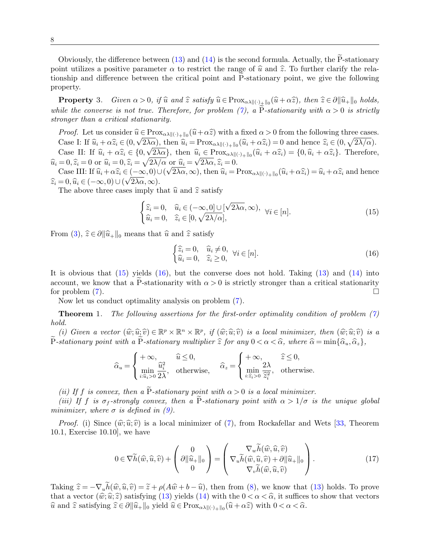Obviously, the difference between  $(13)$  and  $(14)$  is the second formula. Actually, the P-stationary point utilizes a positive parameter  $\alpha$  to restrict the range of  $\hat{u}$  and  $\hat{z}$ . To further clarify the relationship and difference between the critical point and P-stationary point, we give the following property.

<span id="page-7-2"></span>**Property** 3. Given  $\alpha > 0$ , if  $\hat{u}$  and  $\hat{z}$  satisfy  $\hat{u} \in Prox_{\alpha\lambda \|(\cdot)}_{\pm \|0}(\hat{u} + \alpha \hat{z})$ , then  $\hat{z} \in \partial \|\hat{u}_+\|_0$  holds, while the converse is not true. Therefore, for problem [\(7\)](#page-4-3), a P-stationarity with  $\alpha > 0$  is strictly stronger than a critical stationarity.

*Proof.* Let us consider  $\hat{u} \in \text{Prox}_{\alpha\lambda \|(\cdot) + \|_0}(\hat{u} + \alpha \hat{z})$  with a fixed  $\alpha > 0$  from the following three cases.<br>Case L If  $\hat{v} + \alpha \hat{z} \in (0, \sqrt{2\lambda \alpha})$  then  $\hat{v}$ . Proxes  $(\hat{v} + \alpha \hat{z}) = 0$  and hence  $\hat{v} \in (0,$ Case I: If  $\hat{u}_i + \alpha \hat{z}_i \in (0, \sqrt{2\lambda\alpha})$ , then  $\hat{u}_i = \text{Prox}_{\alpha\lambda \|(\cdot)_{+}\|_0}(\hat{u}_i + \alpha \hat{z}_i) = 0$  and hence  $\hat{z}_i \in (0, \sqrt{2\lambda/\alpha})$ . Case II: If  $\hat{u}_i + \alpha \hat{z}_i \in \{0, \sqrt{2\lambda \alpha}\}\$ , then  $\hat{u}_i \in \text{Prox}_{\alpha \lambda \|(\cdot) + \|_0}(\hat{u}_i + \alpha \hat{z}_i) = \{0, \hat{u}_i + \alpha \hat{z}_i\}$ . Therefore,

 $\hat{u}_i = 0, \hat{z}_i = 0$  or  $\hat{u}_i = 0, \hat{z}_i = \sqrt{2\lambda/\alpha}$  or  $\hat{u}_i = \sqrt{2\lambda\alpha}, \hat{z}_i = 0$ .<br>Case III, If  $\hat{v}_i + \alpha \hat{z}_j \in (-\infty, 0)$ ,  $(\sqrt{2\lambda\alpha}, \infty)$ , then  $\hat{v}_i = 1$ . Case III: If  $\hat{u}_i + \alpha \hat{z}_i \in (-\infty, 0) \cup (\sqrt{2\lambda}\alpha, \infty)$ , then  $\hat{u}_i = \text{Prox}_{\alpha\lambda \|(\cdot) + \|0}(\hat{u}_i + \alpha \hat{z}_i) = \hat{u}_i + \alpha \hat{z}_i$  and hence  $\widehat{z}_i = 0, \widehat{u}_i \in (-\infty, 0) \cup (\sqrt{2\lambda}\alpha, \infty).$ <br>The above three cases imply the

The above three cases imply that  $\hat{u}$  and  $\hat{z}$  satisfy

<span id="page-7-0"></span>
$$
\begin{cases} \hat{z}_i = 0, & \hat{u}_i \in (-\infty, 0] \cup [\sqrt{2\lambda\alpha}, \infty), \\ \hat{u}_i = 0, & \hat{z}_i \in [0, \sqrt{2\lambda/\alpha}], \end{cases}
$$
 (15)

From [\(3\)](#page-3-0),  $\hat{z} \in \partial ||\hat{u}_+||_0$  means that  $\hat{u}$  and  $\hat{z}$  satisfy

<span id="page-7-1"></span>
$$
\begin{cases} \hat{z}_i = 0, & \hat{u}_i \neq 0, \\ \hat{u}_i = 0, & \hat{z}_i \ge 0, \end{cases} \forall i \in [n].
$$
\n(16)

It is obvious that [\(15\)](#page-7-0) yields [\(16\)](#page-7-1), but the converse does not hold. Taking [\(13\)](#page-6-1) and [\(14\)](#page-6-2) into account, we know that a P-stationarity with  $\alpha > 0$  is strictly stronger than a critical stationarity for problem (7). for problem [\(7\)](#page-4-3).

Now let us conduct optimality analysis on problem [\(7\)](#page-4-3).

<span id="page-7-3"></span>**Theorem** 1. The following assertions for the first-order optimality condition of problem  $(7)$ hold.

(i) Given a vector  $(\widehat{w}; \widehat{u}; \widehat{v}) \in \mathbb{R}^p \times \mathbb{R}^n \times \mathbb{R}^p$ , if  $(\widehat{w}; \widehat{u}; \widehat{v})$  is a local minimizer, then  $(\widehat{w}; \widehat{u}; \widehat{v})$  is a deterministic parameter with a  $\widetilde{P}$  etation are multiplier  $\widehat{\hat{z}}$ P-stationary point with a P-stationary multiplier  $\hat{z}$  for any  $0 < \alpha < \hat{\alpha}$ , where  $\hat{\alpha} = \min{\{\hat{\alpha}_u, \hat{\alpha}_z\}}$ ,

$$
\widehat{\alpha}_u = \begin{cases}\n+\infty, & \widehat{u} \le 0, \\
\min_{i:\widehat{u}_i>0} \frac{\widehat{u}_i^2}{2\lambda}, & \text{otherwise},\n\end{cases}\n\widehat{\alpha}_z = \begin{cases}\n+\infty, & \widehat{z} \le 0, \\
\min_{i:\widehat{z}_i>0} \frac{2\lambda}{\widehat{z}_i^2}, & \text{otherwise}.\n\end{cases}
$$

(ii) If f is convex, then a  $\tilde{P}$ -stationary point with  $\alpha > 0$  is a local minimizer.

(iii) If f is  $\sigma_f$ -strongly convex, then a P-stationary point with  $\alpha > 1/\sigma$  is the unique global minimizer, where  $\sigma$  is defined in [\(9\)](#page-5-2).

*Proof.* (i) Since  $(\hat{w}; \hat{u}; \hat{v})$  is a local minimizer of [\(7\)](#page-4-3), from Rockafellar and Wets [\[33,](#page-29-14) Theorem 10.1, Exercise 10.10], we have

$$
0 \in \nabla \widetilde{h}(\widehat{w}, \widehat{u}, \widehat{v}) + \begin{pmatrix} 0 \\ \partial \|\widehat{u}_{+}\|_{0} \\ 0 \end{pmatrix} = \begin{pmatrix} \nabla_{w}\widetilde{h}(\widehat{w}, \widehat{u}, \widehat{v}) \\ \nabla_{u}\widetilde{h}(\widehat{w}, \widehat{u}, \widehat{v}) + \partial \|\widehat{u}_{+}\|_{0} \\ \nabla_{v}\widetilde{h}(\widehat{w}, \widehat{u}, \widehat{v}) \end{pmatrix}.
$$
 (17)

Taking  $\hat{z} = -\nabla_u h(\hat{w}, \hat{u}, \hat{v}) = \tilde{z} + \rho(A\hat{w} + b - \hat{u})$ , then from [\(8\)](#page-4-4), we know that [\(13\)](#page-6-1) holds. To prove<br>that a vector  $(\hat{w}, \hat{w}, \hat{z})$  satisfying (13) violds (14) with the  $0 < \alpha < \hat{z}$  it suffices to show that ve that a vector  $(\hat{w}; \hat{u}; \hat{z})$  satisfying [\(13\)](#page-6-1) yields [\(14\)](#page-6-2) with the  $0 < \alpha < \hat{\alpha}$ , it suffices to show that vectors  $\hat{u}$  and  $\hat{z}$  satisfying  $\hat{z} \in \partial \|\hat{u}_+\|_0$  yield  $\hat{u} \in \text{Prox}_{\alpha\lambda \|(\cdot)_+\|_0}(\hat{u} + \alpha \hat{z})$  with  $0 < \alpha < \hat{\alpha}$ .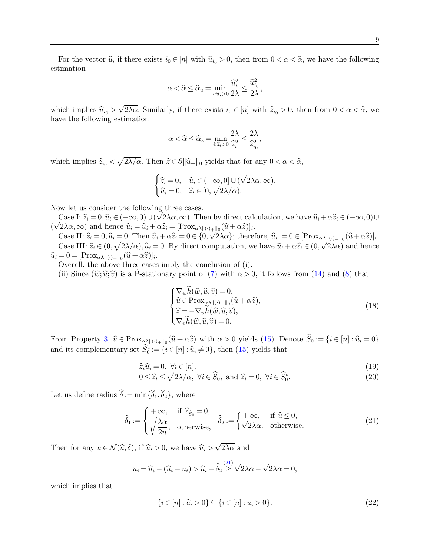For the vector  $\hat{u}$ , if there exists  $i_0 \in [n]$  with  $\hat{u}_{i_0} > 0$ , then from  $0 < \alpha < \hat{\alpha}$ , we have the following estimation

$$
\alpha < \widehat{\alpha} \le \widehat{\alpha}_u = \min_{i:\widehat{u}_i > 0} \frac{\widehat{u}_i^2}{2\lambda} \le \frac{\widehat{u}_{i_0}^2}{2\lambda},
$$

which implies  $\widehat{u}_{i_0} >$ √  $2\lambda\alpha$ . Similarly, if there exists  $i_0 \in [n]$  with  $\widehat{z}_{i_0} > 0$ , then from  $0 < \alpha < \widehat{\alpha}$ , we have the following estimation

$$
\alpha < \widehat{\alpha} \le \widehat{\alpha}_z = \min_{i: \widehat{z}_i > 0} \frac{2\lambda}{\widehat{z}_i^2} \le \frac{2\lambda}{\widehat{z}_{i_0}^2},
$$

which implies  $\widehat{z}_{i_0} < \sqrt{2\lambda/\alpha}$ . Then  $\widehat{z} \in \partial ||\widehat{u}_+||_0$  yields that for any  $0 < \alpha < \widehat{\alpha}$ ,

<span id="page-8-1"></span>
$$
\begin{cases} \widehat{z}_i = 0, & \widehat{u}_i \in (-\infty, 0] \cup (\sqrt{2\lambda\alpha}, \infty), \\ \widehat{u}_i = 0, & \widehat{z}_i \in [0, \sqrt{2\lambda/\alpha}). \end{cases}
$$

Now let us consider the following three cases.

Case I:  $\hat{z}_i = 0$ ,  $\hat{u}_i \in (-\infty, 0) \cup (\sqrt{2\lambda\alpha}, \infty)$ . Then by direct calculation, we have  $\hat{u}_i + \alpha \hat{z}_i \in (-\infty, 0) \cup (\sqrt{2\lambda\alpha}, \infty)$  and hones  $\hat{u}_i - \hat{u}_i + \alpha \hat{z}_i = [\text{Prov}, \dots, \hat{u}_i + \alpha \hat{z}_i]$ ( √  $2\lambda\alpha,\infty$  and hence  $\hat{u}_i = \hat{u}_i + \alpha \hat{z}_i = [\text{Prox}_{\alpha\lambda}||(\cdot)_{+}||_0(\hat{u} + \alpha \hat{z})]_i.$ 

Case II:  $\hat{z}_i = 0$ ,  $\hat{u}_i = 0$ . Then  $\hat{u}_i + \alpha \hat{z}_i = 0 \in \{0, \sqrt{2\lambda\alpha}\}\;$ ; therefore,  $\hat{u}_i = 0 \in [\text{Prox}_{\alpha\lambda}||(\cdot)_{+}||_0(\hat{u} + \alpha \hat{z})]_i$ . Case III:  $\hat{z}_i \in (0, \sqrt{2\lambda/\alpha}), \hat{u}_i = 0$ . By direct computation, we have  $\hat{u}_i + \alpha \hat{z}_i \in (0, \sqrt{2\lambda\alpha})$  and hence  $\hat{u}_i = 0 = [\text{Prox}_{\alpha\lambda \| (\cdot)_+ \|_0} (\hat{u} + \alpha \hat{z})]_i.$ <br>Cycrall, the above three cases

Overall, the above three cases imply the conclusion of (i).

(ii) Since  $(\hat{w}; \hat{u}; \hat{v})$  is a P-stationary point of ([7\)](#page-4-3) with  $\alpha > 0$ , it follows from [\(14\)](#page-6-2) and [\(8\)](#page-4-4) that

<span id="page-8-3"></span><span id="page-8-2"></span>
$$
\begin{cases}\n\nabla_w h(\widehat{w}, \widehat{u}, \widehat{v}) = 0, \\
\widehat{u} \in \text{Prox}_{\alpha \lambda \|(\cdot) + \|_0}(\widehat{u} + \alpha \widehat{z}), \\
\widehat{z} = -\nabla_u \widehat{h}(\widehat{w}, \widehat{u}, \widehat{v}), \\
\nabla_v \widehat{h}(\widehat{w}, \widehat{u}, \widehat{v}) = 0.\n\end{cases}
$$
\n(18)

From Property [3,](#page-7-2)  $\hat{u} \in \text{Prox}_{\alpha\lambda\|\cdot\|_0}(\hat{u} + \alpha \hat{z})$  with  $\alpha > 0$  yields [\(15\)](#page-7-0). Denote  $S_0 := \{i \in [n]: \hat{u}_i = 0\}$ and its complementary set  $\hat{S}_0^c := \{i \in [n] : \hat{u}_i \neq 0\}$ , then [\(15\)](#page-7-0) yields that

$$
\widehat{z}_i \widehat{u}_i = 0, \ \forall i \in [n].
$$
\n
$$
0 \le \widehat{z}_i \le \sqrt{2\lambda_i} \quad \forall i \in \widehat{C} \quad \text{and} \ \widehat{z}_i \ge 0, \ \forall i \in \widehat{C}^c \tag{20}
$$

$$
0 \le \widehat{z}_i \le \sqrt{2\lambda/\alpha}, \ \forall i \in \widehat{S}_0, \ \text{and} \ \widehat{z}_i = 0, \ \forall i \in \widehat{S}_0^c. \tag{20}
$$

Let us define radius  $\hat{\delta}:= \min{\{\hat{\delta}_1,\hat{\delta}_2\}}$ , where

<span id="page-8-0"></span>
$$
\widehat{\delta}_1 := \begin{cases}\n+\infty, & \text{if } \widehat{z}_{\widehat{S}_0} = 0, \\
\sqrt{\frac{\lambda \alpha}{2n}}, & \text{otherwise},\n\end{cases}\n\widehat{\delta}_2 := \begin{cases}\n+\infty, & \text{if } \widehat{u} \le 0, \\
\sqrt{2\lambda \alpha}, & \text{otherwise}.\n\end{cases}
$$
\n(21)

Then for any  $u \in \mathcal{N}(\widehat{u}, \delta)$ , if  $\widehat{u}_i > 0$ , we have  $\widehat{u}_i >$ √  $2\lambda\alpha$  and

<span id="page-8-4"></span>
$$
u_i = \widehat{u}_i - (\widehat{u}_i - u_i) > \widehat{u}_i - \widehat{\delta}_2 \stackrel{(21)}{\geq} \sqrt{2\lambda\alpha} - \sqrt{2\lambda\alpha} = 0,
$$

which implies that

$$
\{i \in [n] : \hat{u}_i > 0\} \subseteq \{i \in [n] : u_i > 0\}.
$$
\n(22)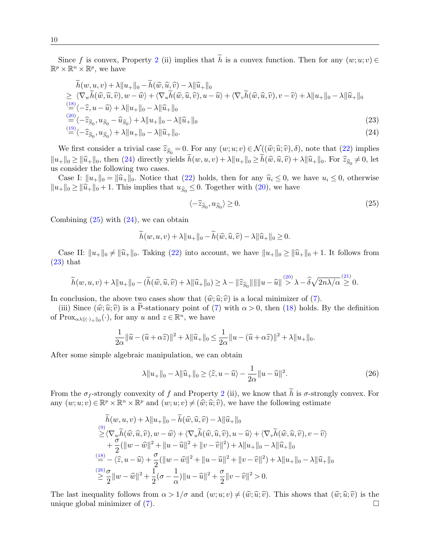10

Since f is convex, Property [2](#page-4-5) (ii) implies that  $\tilde{h}$  is a convex function. Then for any  $(w;u;v) \in$  $\mathbb{R}^p \times \mathbb{R}^n \times \mathbb{R}^p$ , we have

$$
\tilde{h}(w, u, v) + \lambda \|u_{+}\|_{0} - \tilde{h}(\hat{w}, \hat{u}, \hat{v}) - \lambda \|\hat{u}_{+}\|_{0}
$$
\n
$$
\geq \langle \nabla_{w}\tilde{h}(\hat{w}, \hat{u}, \hat{v}), w - \hat{w} \rangle + \langle \nabla_{u}\tilde{h}(\hat{w}, \hat{u}, \hat{v}), u - \hat{u} \rangle + \langle \nabla_{v}\tilde{h}(\hat{w}, \hat{u}, \hat{v}), v - \hat{v} \rangle + \lambda \|u_{+}\|_{0} - \lambda \|\hat{u}_{+}\|_{0}
$$
\n
$$
\stackrel{(18)}{=} \langle -\hat{z}, u - \hat{u} \rangle + \lambda \|u_{+}\|_{0} - \lambda \|\hat{u}_{+}\|_{0}
$$
\n
$$
\stackrel{(20)}{=} \langle -\hat{z}_{\hat{S}_{0}}, u_{\hat{S}_{0}} - \hat{u}_{\hat{S}_{0}} \rangle + \lambda \|u_{+}\|_{0} - \lambda \|\hat{u}_{+}\|_{0}
$$
\n
$$
\stackrel{(19)}{=} \langle -\hat{z}_{\hat{S}_{0}}, u_{\hat{S}_{0}} \rangle + \lambda \|u_{+}\|_{0} - \lambda \|\hat{u}_{+}\|_{0}.
$$
\n(24)

We first consider a trivial case  $\hat{z}_{\hat{S}_0} = 0$ . For any  $(w;u; v) \in \mathcal{N}((\hat{w}; \hat{u}; \hat{v}), \delta)$ , note that  $(22)$  implies  $||u_+||_0 \ge ||\widehat{u}_+||_0$ , then [\(24\)](#page-9-0) directly yields  $h(w, u, v) + \lambda ||u_+||_0 \ge h(\widehat{w}, \widehat{u}, \widehat{v}) + \lambda ||\widehat{u}_+||_0$ . For  $\widehat{z}_{\widehat{S}_0} \neq 0$ , let us consider the following two cases.

Case I:  $||u_+||_0 = ||\hat{u}_+||_0$ . Notice that [\(22\)](#page-8-4) holds, then for any  $\hat{u}_i \leq 0$ , we have  $u_i \leq 0$ , otherwise  $||u_+||_0 \ge ||\widehat{u}_+||_0 + 1$ . This implies that  $u_{\widehat{S}_0} \leq 0$ . Together with [\(20\)](#page-8-2), we have

<span id="page-9-2"></span><span id="page-9-1"></span><span id="page-9-0"></span>
$$
\langle -\hat{z}_{\hat{S}_0}, u_{\hat{S}_0} \rangle \ge 0. \tag{25}
$$

Combining  $(25)$  with  $(24)$ , we can obtain

<span id="page-9-3"></span>
$$
h(w, u, v) + \lambda ||u_+||_0 - h(\widehat{w}, \widehat{u}, \widehat{v}) - \lambda ||\widehat{u}_+||_0 \ge 0.
$$

Case II:  $||u_+||_0 \neq ||\hat{u}_+||_0$ . Taking [\(22\)](#page-8-4) into account, we have  $||u_+||_0 \geq ||\hat{u}_+||_0 + 1$ . It follows from [\(23\)](#page-9-2) that

$$
\widetilde{h}(w, u, v) + \lambda \|u_+\|_0 - (\widetilde{h}(\widehat{w}, \widehat{u}, \widehat{v}) + \lambda \|\widehat{u}_+\|_0) \ge \lambda - \|\widehat{z}_{\widehat{S}_0}\| \|\|u - \widehat{u}\| \stackrel{(20)}{>} \lambda - \widehat{\delta} \sqrt{2n\lambda/\alpha} \stackrel{(21)}{\ge} 0.
$$

In conclusion, the above two cases show that  $(\hat{w}; \hat{u}; \hat{v})$  is a local minimizer of [\(7\)](#page-4-3).

(iii) Since  $(\widehat{w}; \widehat{u}; \widehat{v})$  is a P-stationary point of ([7\)](#page-4-3) with  $\alpha > 0$ , then [\(18\)](#page-8-1) holds. By the definition of  $Prox_{\alpha\lambda\|\langle \cdot\rangle_{+}\|_{0}}(\cdot)$ , for any u and  $z \in \mathbb{R}^{n}$ , we have

$$
\frac{1}{2\alpha} \|\widehat{u} - (\widehat{u} + \alpha \widehat{z})\|^2 + \lambda \|\widehat{u}_+\|_0 \le \frac{1}{2\alpha} \|u - (\widehat{u} + \alpha \widehat{z})\|^2 + \lambda \|u_+\|_0.
$$

After some simple algebraic manipulation, we can obtain

$$
\lambda \|u_{+}\|_{0} - \lambda \|\widehat{u}_{+}\|_{0} \ge \langle \widehat{z}, u - \widehat{u}\rangle - \frac{1}{2\alpha} \|u - \widehat{u}\|^{2}.
$$
 (26)

From the  $\sigma_f$ -strongly convexity of f and Property [2](#page-4-5) (ii), we know that h is  $\sigma$ -strongly convex. For any  $(w; u; v) \in \mathbb{R}^p \times \mathbb{R}^n \times \mathbb{R}^p$  and  $(w; u; v) \neq (\hat{w}; \hat{u}; \hat{v})$ , we have the following estimate

$$
\tilde{h}(w, u, v) + \lambda ||u_+||_0 - \tilde{h}(\widehat{w}, \widehat{u}, \widehat{v}) - \lambda ||\widehat{u}_+||_0 \n\geq \langle \nabla_w \widetilde{h}(\widehat{w}, \widehat{u}, \widehat{v}), w - \widehat{w} \rangle + \langle \nabla_u \widetilde{h}(\widehat{w}, \widehat{u}, \widehat{v}), u - \widehat{u} \rangle + \langle \nabla_v \widetilde{h}(\widehat{w}, \widehat{u}, \widehat{v}), v - \widehat{v} \rangle \n+ \frac{\sigma}{2} (||w - \widehat{w}||^2 + ||u - \widehat{u}||^2 + ||v - \widehat{v}||^2) + \lambda ||u_+||_0 - \lambda ||\widehat{u}_+||_0 \n\stackrel{(18)}{=} -\langle \widehat{z}, u - \widehat{u} \rangle + \frac{\sigma}{2} (||w - \widehat{w}||^2 + ||u - \widehat{u}||^2 + ||v - \widehat{v}||^2) + \lambda ||u_+||_0 - \lambda ||\widehat{u}_+||_0 \n\geq \frac{\gamma}{2} \frac{\sigma}{2} ||w - \widehat{w}||^2 + \frac{1}{2} (\sigma - \frac{1}{\alpha}) ||u - \widehat{u}||^2 + \frac{\sigma}{2} ||v - \widehat{v}||^2 > 0.
$$

The last inequality follows from  $\alpha > 1/\sigma$  and  $(w;u;v) \neq (\hat{w}; \hat{u}; \hat{v})$ . This shows that  $(\hat{w}; \hat{u}; \hat{v})$  is the unique global minimizer of (7). unique global minimizer of [\(7\)](#page-4-3).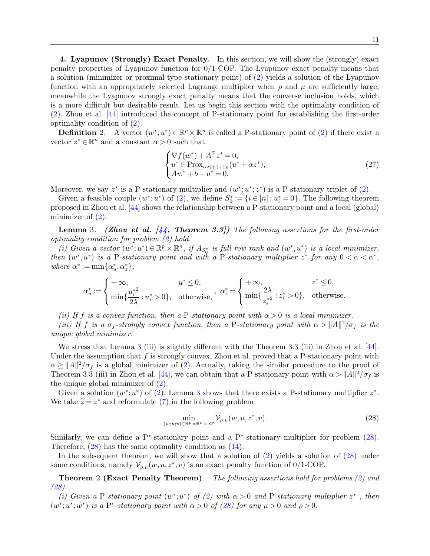<span id="page-10-0"></span>4. Lyapunov (Strongly) Exact Penalty. In this section, we will show the (strongly) exact penalty properties of Lyapunov function for 0/1-COP. The Lyapunov exact penalty means that a solution (minimizer or proximal-type stationary point) of [\(2\)](#page-0-1) yields a solution of the Lyapunov function with an appropriately selected Lagrange multiplier when  $\rho$  and  $\mu$  are sufficiently large, meanwhile the Lyapunov strongly exact penalty means that the converse inclusion holds, which is a more difficult but desirable result. Let us begin this section with the optimality condition of [\(2\)](#page-0-1). Zhou et al. [\[44\]](#page-29-15) introduced the concept of P-stationary point for establishing the first-order optimality condition of [\(2\)](#page-0-1).

**Definition** 2. A vector  $(w^*; u^*) \in \mathbb{R}^p \times \mathbb{R}^n$  is called a P-stationary point of [\(2\)](#page-0-1) if there exist a vector  $z^* \in \mathbb{R}^n$  and a constant  $\alpha > 0$  such that

<span id="page-10-3"></span>
$$
\begin{cases} \nabla f(w^*) + A^\top z^* = 0, \\ u^* \in \text{Prox}_{\alpha \lambda \| (\cdot)_{+} \|_{0}} (u^* + \alpha z^*), \\ Aw^* + b - u^* = 0. \end{cases} \tag{27}
$$

Moreover, we say  $z^*$  is a P-stationary multiplier and  $(w^*; u^*; z^*)$  is a P-stationary triplet of  $(2)$ .

Given a feasible couple  $(w^*; u^*)$  of [\(2\)](#page-0-1), we define  $S_0^* := \{i \in [n] : u_i^* = 0\}$ . The following theorem proposed in Zhou et al. [\[44\]](#page-29-15) shows the relationship between a P-stationary point and a local (global) minimizer of  $(2)$ .

<span id="page-10-1"></span>**Lemma** 3. (Zhou et al.  $\begin{bmatrix} 44 \\ 44 \end{bmatrix}$  Theorem 3.3.) The following assertions for the first-order optimality condition for problem [\(2\)](#page-0-1) hold.

(i) Given a vector  $(w^*; u^*) \in \mathbb{R}^p \times \mathbb{R}^n$ , if  $A_{S_0^*}$  is full row rank and  $(w^*, u^*)$  is a local minimizer, then  $(w^*, u^*)$  is a P-stationary point and with a P-stationary multiplier  $z^*$  for any  $0 < \alpha < \alpha^*$ , where  $\alpha^* := \min\{\alpha_u^*, \alpha_z^*\},\$ 

<span id="page-10-2"></span>
$$
\alpha_u^*:=\left\{\begin{aligned}&+\infty,&&u^*\leq 0,\\&\min\{\frac{u_i^{*2}}{2\lambda}:u_i^*>0\},\quad\text{otherwise},\end{aligned}\right.,\ \alpha_z^*=\left\{\begin{aligned}&+\infty,&&z^*\leq 0,\\&\min\{\frac{2\lambda}{z_i^{*2}}:z_i^*>0\},\quad\text{otherwise}.\end{aligned}\right.
$$

(ii) If f is a convex function, then a P-stationary point with  $\alpha > 0$  is a local minimizer.

(iii) If f is a  $\sigma_f$ -strongly convex function, then a P-stationary point with  $\alpha > ||A||^2/\sigma_f$  is the unique global minimizer.

We stress that Lemma [3](#page-10-1) (iii) is slightly different with the Theorem 3.3 (iii) in Zhou et al. [\[44\]](#page-29-15). Under the assumption that  $f$  is strongly convex, Zhou et al. proved that a P-stationary point with  $\alpha \geq ||A||^2/\sigma_f$  is a global minimizer of [\(2\)](#page-0-1). Actually, taking the similar procedure to the proof of Theorem 3.3 (iii) in Zhou et al. [\[44\]](#page-29-15), we can obtain that a P-stationary point with  $\alpha > ||A||^2/\sigma_f$  is the unique global minimizer of [\(2\)](#page-0-1).

Given a solution  $(w^*; u^*)$  of  $(2)$ , Lemma [3](#page-10-1) shows that there exists a P-stationary multiplier  $z^*$ . We take  $\tilde{z} = z^*$  and reformulate [\(7\)](#page-4-3) in the following problem

$$
\min_{(w;u;v)\in\mathbb{R}^p\times\mathbb{R}^n\times\mathbb{R}^p} \mathcal{V}_{\rho,\mu}(w,u,z^*,v).
$$
\n(28)

Similarly, we can define a P<sup>\*</sup>-stationary point and a P<sup>\*</sup>-stationary multiplier for problem  $(28)$ . Therefore, [\(28\)](#page-10-2) has the same optmality condition as [\(14\)](#page-6-2).

In the subsequent theorem, we will show that a solution of [\(2\)](#page-0-1) yields a solution of [\(28\)](#page-10-2) under some conditions, namely  $\mathcal{V}_{\rho,\mu}(w,u,z^*,v)$  is an exact penalty function of 0/1-COP.

<span id="page-10-4"></span>Theorem 2 (Exact Penalty Theorem). The following assertions hold for problems [\(2\)](#page-0-1) and [\(28\)](#page-10-2).

(i) Given a P-stationary point  $(w^*; u^*)$  of [\(2\)](#page-0-1) with  $\alpha > 0$  and P-stationary multiplier  $z^*$ , then  $(w^*; u^*; w^*)$  is a P<sup>\*</sup>-stationary point with  $\alpha > 0$  of [\(28\)](#page-10-2) for any  $\mu > 0$  and  $\rho > 0$ .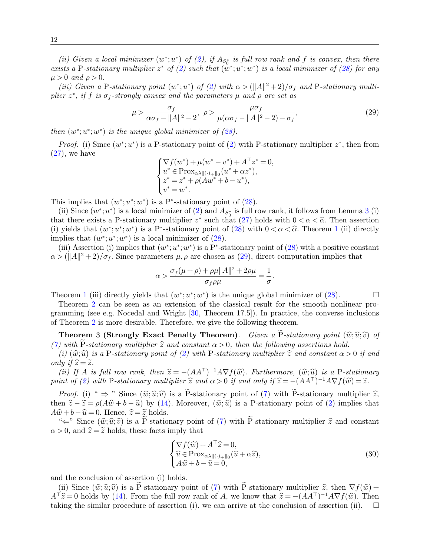(ii) Given a local minimizer  $(w^*;u^*)$  of [\(2\)](#page-0-1), if  $A_{S_0^*}$  is full row rank and f is convex, then there exists a P-stationary multiplier  $z^*$  of [\(2\)](#page-0-1) such that  $(w^*; u^*; w^*)$  is a local minimizer of [\(28\)](#page-10-2) for any  $\mu > 0$  and  $\rho > 0$ .

(iii) Given a P-stationary point (w<sup>\*</sup>; u<sup>\*</sup>) of [\(2\)](#page-0-1) with  $\alpha > (\Vert A \Vert^2 + 2)/\sigma_f$  and P-stationary multiplier  $z^*$ , if f is  $\sigma_f$ -strongly convex and the parameters  $\mu$  and  $\rho$  are set as

<span id="page-11-0"></span>
$$
\mu > \frac{\sigma_f}{\alpha \sigma_f - \|A\|^2 - 2}, \ \rho > \frac{\mu \sigma_f}{\mu(\alpha \sigma_f - \|A\|^2 - 2) - \sigma_f},\tag{29}
$$

then  $(w^*; u^*; w^*)$  is the unique global minimizer of  $(28)$ .

*Proof.* (i) Since  $(w^*; u^*)$  is a P-stationary point of [\(2\)](#page-0-1) with P-stationary multiplier  $z^*$ , then from  $(27)$ , we have

$$
\begin{cases} \nabla f(w^*) + \mu(w^* - v^*) + A^\top z^* = 0, \\ u^* \in \text{Prox}_{\alpha \lambda \|(\cdot)_{+}\|_0} (u^* + \alpha z^*), \\ z^* = z^* + \rho(Aw^* + b - u^*), \\ v^* = w^*. \end{cases}
$$

This implies that  $(w^*; u^*; w^*)$  is a P<sup>\*</sup>-stationary point of [\(28\)](#page-10-2).

(ii) Since  $(w^*; u^*)$  is a local minimizer of [\(2\)](#page-0-1) and  $A_{S_0^*}$  is full row rank, it follows from Lemma [3](#page-10-1) (i) that there exists a P-stationary multiplier  $z^*$  such that [\(27\)](#page-10-3) holds with  $0 < \alpha < \hat{\alpha}$ . Then assertion<br>(i) yields that  $(w^*, w^*, w^*)$  is a P<sup>\*</sup> stationary point of (28) with  $0 < \alpha < \hat{\alpha}$ . Theorem 1 (ii) directly (i) yields that  $(w^*; u^*, w^*)$  is a P<sup>\*</sup>-stationary point of [\(28\)](#page-10-2) with  $0 < \alpha < \hat{\alpha}$ . Theorem [1](#page-7-3) (ii) directly implies that  $(w^*; u^*, w^*)$  is a local minimizer of (28) implies that  $(w^*; u^*; w^*)$  is a local minimizer of  $(28)$ .

(iii) Assertion (i) implies that  $(w^*; u^*; w^*)$  is a P<sup>\*</sup>-stationary point of  $(28)$  with a positive constant  $\alpha > (\Vert A \Vert^2 + 2)/\sigma_f$ . Since parameters  $\mu, \rho$  are chosen as [\(29\)](#page-11-0), direct computation implies that

$$
\alpha > \frac{\sigma_f(\mu+\rho)+\rho\mu||A||^2+2\rho\mu}{\sigma_f\rho\mu} = \frac{1}{\sigma}.
$$

Theorem [1](#page-7-3) (iii) directly yields that  $(w^*; u^*; w^*)$  is the unique global minimizer of [\(28\)](#page-10-2).

Theorem [2](#page-10-4) can be seen as an extension of the classical result for the smooth nonlinear programming (see e.g. Nocedal and Wright [\[30,](#page-29-1) Theorem 17.5]). In practice, the converse inclusions of Theorem [2](#page-10-4) is more desirable. Therefore, we give the following theorem.

<span id="page-11-1"></span>**Theorem 3 (Strongly Exact Penalty Theorem).** Given a P-stationary point  $(\widehat{w}; \widehat{u}; \widehat{v})$  of [\(7\)](#page-4-3) with P-stationary multiplier  $\hat{z}$  and constant  $\alpha > 0$ , then the following assertions hold.

(i)  $(\hat{w}, \hat{u})$  is a P-stationary point of [\(2\)](#page-0-1) with P-stationary multiplier  $\hat{z}$  and constant  $\alpha > 0$  if and only if  $\hat{z} = \tilde{z}$ .

(ii) If A is full row rank, then  $\hat{z} = -(A\overline{A})^{-1}A\nabla f(\hat{w})$ . Furthermore,  $(\hat{w};\hat{u})$  is a P-stationary<br>int of (2) with P stationary multiplier  $\hat{z}$  and  $\alpha > 0$  if and only if  $\hat{z} = -(A\overline{A})^{-1}A\nabla f(\hat{w}) - \tilde{z}$ point of [\(2\)](#page-0-1) with P-stationary multiplier  $\hat{z}$  and  $\alpha > 0$  if and only if  $\hat{z} = -(AA^{\top})^{-1}A\nabla f(\hat{w}) = \tilde{z}$ .

*Proof.* (i) "  $\Rightarrow$  " Since  $(\widehat{w}; \widehat{u}; \widehat{v})$  is a P-stationary point of ([7\)](#page-4-3) with P-stationary multiplier  $\widehat{z}$ , then  $\hat{z} - \tilde{z} = \rho(A\hat{w} + b - \hat{u})$  by [\(14\)](#page-6-2). Moreover,  $(\hat{w}, \hat{u})$  is a P-stationary point of [\(2\)](#page-0-1) implies that  $A\widehat{w} + b - \widehat{u} = 0$ . Hence,  $\widehat{z} = \widetilde{z}$  holds.

" $\Leftarrow$ " Since  $(\widehat{w}; \widehat{u}; \widehat{v})$  is a P-stationary point of ([7\)](#page-4-3) with P-stationary multiplier  $\widehat{z}$  and constant  $\alpha > 0$ , and  $\hat{z} = \tilde{z}$  holds, these facts imply that

$$
\begin{cases} \nabla f(\widehat{w}) + A^{\top}\widehat{z} = 0, \\ \n\widehat{u} \in \text{Prox}_{\alpha\lambda \|(\cdot) + \|_0} (\widehat{u} + \alpha \widehat{z}), \\ \nA\widehat{w} + b - \widehat{u} = 0, \n\end{cases} \tag{30}
$$

and the conclusion of assertion (i) holds.

(ii) Since  $(\hat{w}; \hat{u}; \hat{v})$  is a P-stationary point of ([7\)](#page-4-3) with P-stationary multiplier  $\hat{z}$ , then  $\nabla f(\hat{w}) +$  $A^{\top}\hat{z}=0$  holds by [\(14\)](#page-6-2). From the full row rank of A, we know that  $\hat{z}=-(AA^{\top})^{-1}A\nabla f(\hat{w})$ . Then<br>taking the similar procedure of assertion (i) we can arrive at the conclusion of assertion (ii) taking the similar procedure of assertion (i), we can arrive at the conclusion of assertion (ii).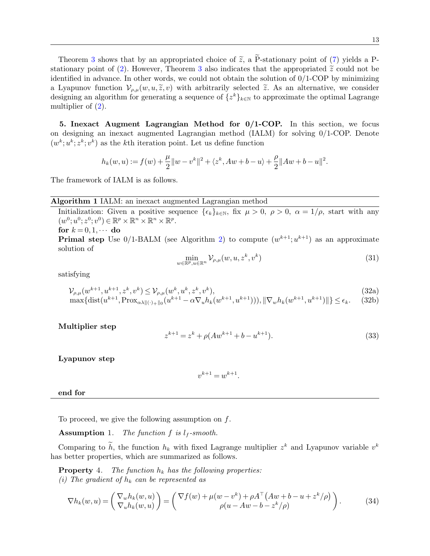<span id="page-12-0"></span>5. Inexact Augment Lagrangian Method for 0/1-COP. In this section, we focus on designing an inexact augmented Lagrangian method (IALM) for solving 0/1-COP. Denote  $(w^k; u^k; z^k; v^k)$  as the k<sup>th</sup> iteration point. Let us define function

<span id="page-12-3"></span>
$$
h_k(w,u):=f(w)+\frac{\mu}{2}\|w-v^k\|^2+\langle z^k,Aw+b-u\rangle+\frac{\rho}{2}\|Aw+b-u\|^2.
$$

The framework of IALM is as follows.

## Algorithm 1 IALM: an inexact augmented Lagrangian method

<span id="page-12-7"></span>Initialization: Given a positive sequence  $\{\epsilon_k\}_{k\in\mathbb{N}}$ , fix  $\mu > 0$ ,  $\rho > 0$ ,  $\alpha = 1/\rho$ , start with any  $(w^0; u^0; z^0; v^0) \in \mathbb{R}^p \times \mathbb{R}^n \times \mathbb{R}^n \times \mathbb{R}^p$ .

for  $k = 0, 1, \cdots$  do

multiplier of  $(2)$ .

**Primal step** Use  $0/1$ -BALM (see Algorithm [2\)](#page-14-0) to compute  $(w^{k+1}; u^{k+1})$  as an approximate solution of

$$
\min_{w \in \mathbb{R}^p, u \in \mathbb{R}^n} \mathcal{V}_{\rho,\mu}(w, u, z^k, v^k)
$$
\n(31)

satisfying

<span id="page-12-5"></span>
$$
\mathcal{V}_{\rho,\mu}(w^{k+1},u^{k+1},z^k,v^k) \le \mathcal{V}_{\rho,\mu}(w^k,u^k,z^k,v^k),\tag{32a}
$$

$$
\max\{\text{dist}(u^{k+1}, \text{Prox}_{\alpha\lambda\|\{\cdot\}+\|0}(u^{k+1} - \alpha \nabla_u h_k(w^{k+1}, u^{k+1}))), \|\nabla_w h_k(w^{k+1}, u^{k+1})\|\} \le \epsilon_k. \tag{32b}
$$

Multiplier step

<span id="page-12-8"></span>
$$
z^{k+1} = z^k + \rho(Aw^{k+1} + b - u^{k+1}).
$$
\n(33)

Lyapunov step

<span id="page-12-9"></span><span id="page-12-6"></span><span id="page-12-4"></span>
$$
v^{k+1} = w^{k+1}.
$$

end for

To proceed, we give the following assumption on  $f$ .

<span id="page-12-1"></span>**Assumption** 1. The function f is  $l_f$ -smooth.

Comparing to h, the function  $h_k$  with fixed Lagrange multiplier  $z^k$  and Lyapunov variable  $v^k$ has better properties, which are summarized as follows.

**Property** 4. The function  $h_k$  has the following properties: (i) The gradient of  $h_k$  can be represented as

<span id="page-12-2"></span>
$$
\nabla h_k(w, u) = \begin{pmatrix} \nabla_w h_k(w, u) \\ \nabla_u h_k(w, u) \end{pmatrix} = \begin{pmatrix} \nabla f(w) + \mu(w - v^k) + \rho A^\top (Aw + b - u + z^k/\rho) \\ \rho(u - Aw - b - z^k/\rho) \end{pmatrix}.
$$
 (34)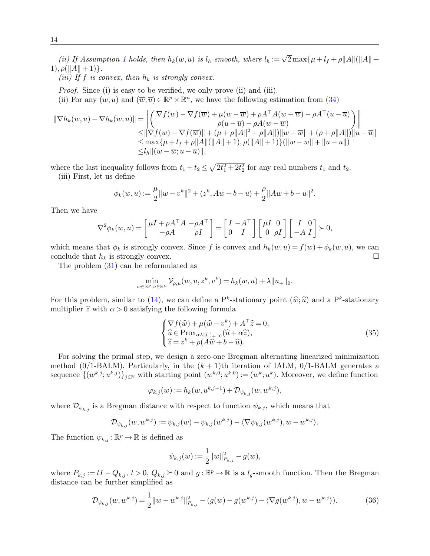(ii) If Assumption [1](#page-12-1) holds, then  $h_k(w, u)$  is  $l_h$ -smooth, where  $l_h := \sqrt{2} \max\{\mu + l_f + \rho ||A|| (\Vert A\Vert + \rho)$  $1), \rho(||A|| + 1)$ .

(iii) If f is convex, then  $h_k$  is strongly convex.

Proof. Since (i) is easy to be verified, we only prove (ii) and (iii).

(ii) For any  $(w; u)$  and  $(\overline{w}; \overline{u}) \in \mathbb{R}^p \times \mathbb{R}^n$ , we have the following estimation from [\(34\)](#page-12-2)

$$
\|\nabla h_k(w, u) - \nabla h_k(\overline{w}, \overline{u})\| = \left\| \begin{pmatrix} \nabla f(w) - \nabla f(\overline{w}) + \mu(w - \overline{w}) + \rho A^\top A(w - \overline{w}) - \rho A^\top (u - \overline{u}) \\ \rho(u - \overline{u}) - \rho A(w - \overline{w}) \end{pmatrix} \right\|
$$
  
\n
$$
\leq \|\nabla f(w) - \nabla f(\overline{w})\| + (\mu + \rho \|A\|^2 + \rho \|A\|) \|w - \overline{w}\| + (\rho + \rho \|A\|) \|u - \overline{u}\|
$$
  
\n
$$
\leq \max \{\mu + l_f + \rho \|A\| (\|A\| + 1), \rho (\|A\| + 1) \} (\|w - \overline{w}\| + \|u - \overline{u}\|)
$$
  
\n
$$
\leq l_h \| (w - \overline{w}; u - \overline{u}) \|,
$$

where the last inequality follows from  $t_1 + t_2 \leq \sqrt{2t_1^2 + 2t_2^2}$  for any real numbers  $t_1$  and  $t_2$ . (iii) First, let us define

<span id="page-13-1"></span>
$$
\phi_k(w, u) := \frac{\mu}{2} ||w - v^k||^2 + \langle z^k, Aw + b - u \rangle + \frac{\rho}{2} ||Aw + b - u||^2.
$$

Then we have

$$
\nabla^2 \phi_k(w, u) = \begin{bmatrix} \mu I + \rho A^\top A & -\rho A^\top \\ -\rho A & \rho I \end{bmatrix} = \begin{bmatrix} I & -A^\top \\ 0 & I \end{bmatrix} \begin{bmatrix} \mu I & 0 \\ 0 & \rho I \end{bmatrix} \begin{bmatrix} I & 0 \\ -A & I \end{bmatrix} \succ 0,
$$

which means that  $\phi_k$  is strongly convex. Since f is convex and  $h_k(w, u) = f(w) + \phi_k(w, u)$ , we can conclude that  $h_k$  is strongly convex.  $\Box$ 

The problem [\(31\)](#page-12-3) can be reformulated as

$$
\min_{w \in \mathbb{R}^p, u \in \mathbb{R}^n} \mathcal{V}_{\rho,\mu}(w, u, z^k, v^k) = h_k(w, u) + \lambda \|u_+\|_0.
$$

For this problem, similar to [\(14\)](#page-6-2), we can define a  $P^k$ -stationary point  $(\hat{w}; \hat{u})$  and a  $P^k$ -stationary<br>multiplier  $\hat{\epsilon}$  with  $\alpha > 0$  satisfying the following formula multiplier  $\hat{z}$  with  $\alpha > 0$  satisfying the following formula

$$
\begin{cases} \nabla f(\widehat{w}) + \mu(\widehat{w} - v^k) + A^\top \widehat{z} = 0, \\ \n\widehat{u} \in \text{Prox}_{\alpha \lambda \|(\cdot) + \|_0} (\widehat{u} + \alpha \widehat{z}), \\ \n\widehat{z} = z^k + \rho(A\widehat{w} + b - \widehat{u}). \n\end{cases} \tag{35}
$$

For solving the primal step, we design a zero-one Bregman alternating linearized minimization method (0/1-BALM). Particularly, in the  $(k + 1)$ th iteration of IALM, 0/1-BALM generates a sequence  $\{(w^{k,j};u^{k,j})\}_{j\in\mathbb{N}}$  with starting point  $(w^{k,0};u^{k,0}) := (w^k;u^k)$ . Moreover, we define function

$$
\varphi_{k,j}(w) := h_k(w, u^{k,j+1}) + \mathcal{D}_{\psi_{k,j}}(w, w^{k,j}),
$$

where  $\mathcal{D}_{\psi_{k,j}}$  is a Bregman distance with respect to function  $\psi_{k,j}$ , which means that

$$
\mathcal{D}_{\psi_{k,j}}(w, w^{k,j}) := \psi_{k,j}(w) - \psi_{k,j}(w^{k,j}) - \langle \nabla \psi_{k,j}(w^{k,j}), w - w^{k,j} \rangle.
$$

The function  $\psi_{k,j} : \mathbb{R}^p \to \mathbb{R}$  is defined as

<span id="page-13-0"></span>
$$
\psi_{k,j}(w) := \frac{1}{2} ||w||_{P_{k,j}}^2 - g(w),
$$

where  $P_{k,j} := tI - Q_{k,j}, t > 0, Q_{k,j} \geq 0$  and  $g : \mathbb{R}^p \to \mathbb{R}$  is a  $l_g$ -smooth function. Then the Bregman distance can be further simplified as

$$
\mathcal{D}_{\psi_{k,j}}(w, w^{k,j}) = \frac{1}{2} ||w - w^{k,j}||_{P_{k,j}}^2 - (g(w) - g(w^{k,j}) - \langle \nabla g(w^{k,j}), w - w^{k,j} \rangle).
$$
 (36)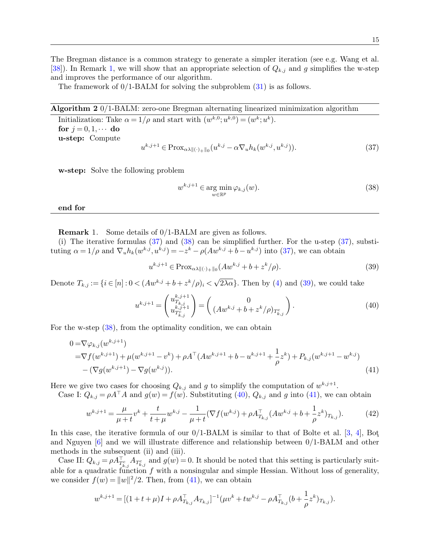The framework of  $0/1$ -BALM for solving the subproblem  $(31)$  is as follows.

Algorithm 2 0/1-BALM: zero-one Bregman alternating linearized minimization algorithm

<span id="page-14-0"></span>Initialization: Take  $\alpha = 1/\rho$  and start with  $(w^{k,0}; u^{k,0}) = (w^k; u^k)$ . for  $j = 0, 1, \cdots$  do u-step: Compute  $u^{k,j+1} \in \text{Prox}_{\alpha\lambda \|(\cdot)_{+}\|_{0}}(u^{k,j} - \alpha \nabla_{u} h_{k}(w^{k,j}, u^{k,j})).$  (37)

w-step: Solve the following problem

<span id="page-14-3"></span><span id="page-14-2"></span>
$$
w^{k,j+1} \in \underset{w \in \mathbb{R}^p}{\text{arg min}} \, \varphi_{k,j}(w). \tag{38}
$$

end for

<span id="page-14-1"></span>Remark 1. Some details of 0/1-BALM are given as follows.

(i) The iterative formulas [\(37\)](#page-14-2) and [\(38\)](#page-14-3) can be simplified further. For the u-step [\(37\)](#page-14-2), substituting  $\alpha = 1/\rho$  and  $\nabla_u h_k(w^{k,j}, u^{k,j}) = -z^k - \rho(Aw^{k,j} + b - u^{k,j})$  into [\(37\)](#page-14-2), we can obtain

<span id="page-14-6"></span><span id="page-14-5"></span><span id="page-14-4"></span>
$$
u^{k,j+1} \in \text{Prox}_{\alpha\lambda \|(\cdot) + \|0} (Aw^{k,j} + b + z^k/\rho). \tag{39}
$$

Denote  $T_{k,j} := \{i \in [n]: 0 < (Aw^{k,j} + b + z^k/\rho)_i <$ √  $2\lambda\alpha$ . Then by [\(4\)](#page-4-6) and [\(39\)](#page-14-4), we could take

<span id="page-14-7"></span>
$$
u^{k,j+1} = \begin{pmatrix} u^{k,j+1}_{T_{k,j}} \\ u^{k,j+1}_{T_{k,j}^c} \end{pmatrix} = \begin{pmatrix} 0 \\ (Aw^{k,j} + b + z^k/\rho)_{T_{k,j}^c} \end{pmatrix}.
$$
 (40)

For the w-step [\(38\)](#page-14-3), from the optimality condition, we can obtain

$$
0 = \nabla \varphi_{k,j}(w^{k,j+1})
$$
  
=  $\nabla f(w^{k,j+1}) + \mu(w^{k,j+1} - v^k) + \rho A^{\top} (A w^{k,j+1} + b - u^{k,j+1} + \frac{1}{\rho} z^k) + P_{k,j}(w^{k,j+1} - w^{k,j})$   
-  $(\nabla g(w^{k,j+1}) - \nabla g(w^{k,j})).$  (41)

Here we give two cases for choosing  $Q_{k,j}$  and g to simplify the computation of  $w^{k,j+1}$ .

Case I:  $Q_{k,j} = \rho A^\top A$  and  $g(w) = f(w)$ . Substituting [\(40\)](#page-14-5),  $Q_{k,j}$  and g into [\(41\)](#page-14-6), we can obtain

$$
w^{k,j+1} = \frac{\mu}{\mu + t} v^k + \frac{t}{t + \mu} w^{k,j} - \frac{1}{\mu + t} (\nabla f(w^{k,j}) + \rho A_{T_{k,j}}^\top (A w^{k,j} + b + \frac{1}{\rho} z^k)_{T_{k,j}}). \tag{42}
$$

In this case, the iterative formula of our  $0/1$ -BALM is similar to that of Bolte et al. [\[3,](#page-28-14) [4\]](#page-28-12), Bot and Nguyen [\[6\]](#page-28-8) and we will illustrate difference and relationship between 0/1-BALM and other methods in the subsequent (ii) and (iii).

Case II:  $Q_{k,j} = \rho A_{T_{k,j}}^{\top} A_{T_{k,j}}$  and  $g(w) = 0$ . It should be noted that this setting is particularly suitable for a quadratic function  $f$  with a nonsingular and simple Hessian. Without loss of generality, we consider  $f(w) = ||w||^2/2$ . Then, from [\(41\)](#page-14-6), we can obtain

$$
w^{k,j+1} = [(1+t+\mu)I + \rho A_{T_{k,j}}^\top A_{T_{k,j}}]^{-1}(\mu v^k + t w^{k,j} - \rho A_{T_{k,j}}^\top (b + \frac{1}{\rho} z^k)_{T_{k,j}}).
$$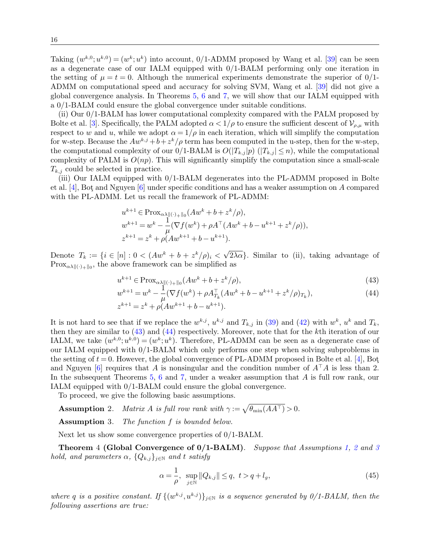Taking  $(w^{k,0}; u^{k,0}) = (w^k; u^k)$  into account, 0/1-ADMM proposed by Wang et al. [\[39\]](#page-29-13) can be seen as a degenerate case of our IALM equipped with 0/1-BALM performing only one iteration in the setting of  $\mu = t = 0$ . Although the numerical experiments demonstrate the superior of 0/1-ADMM on computational speed and accuracy for solving SVM, Wang et al. [\[39\]](#page-29-13) did not give a global convergence analysis. In Theorems [5,](#page-19-0) [6](#page-23-0) and [7,](#page-24-0) we will show that our IALM equipped with a 0/1-BALM could ensure the global convergence under suitable conditions.

(ii) Our 0/1-BALM has lower computational complexity compared with the PALM proposed by Bolte et al. [\[3\]](#page-28-14). Specifically, the PALM adopted  $\alpha < 1/\rho$  to ensure the sufficient descent of  $\mathcal{V}_{\rho,\mu}$  with respect to w and u, while we adopt  $\alpha = 1/\rho$  in each iteration, which will simplify the computation for w-step. Because the  $Aw^{k,j}+b+z^k/\rho$  term has been computed in the u-step, then for the w-step, the computational complexity of our 0/1-BALM is  $O(|T_{k,j}|p)$   $(|T_{k,j}| \leq n)$ , while the computational complexity of PALM is  $O(np)$ . This will significantly simplify the computation since a small-scale  $T_{k,j}$  could be selected in practice.

(iii) Our IALM equipped with 0/1-BALM degenerates into the PL-ADMM proposed in Bolte et al. [\[4\]](#page-28-12), Bot and Nguyen  $[6]$  under specific conditions and has a weaker assumption on A compared with the PL-ADMM. Let us recall the framework of PL-ADMM:

$$
u^{k+1} \in \operatorname{Prox}_{\alpha\lambda\|\langle \cdot \rangle + \|\cdot\|} (Aw^k + b + z^k/\rho),
$$
  
\n
$$
w^{k+1} = w^k - \frac{1}{\mu} (\nabla f(w^k) + \rho A^{\top} (Aw^k + b - u^{k+1} + z^k/\rho)),
$$
  
\n
$$
z^{k+1} = z^k + \rho (Aw^{k+1} + b - u^{k+1}).
$$

Denote  $T_k := \{ i \in [n] : 0 < (Aw^k + b + z^k/\rho)_i <$ √  $2\lambda\alpha$ . Similar to (ii), taking advantage of  $Prox_{\alpha\lambda\|\langle\cdot\rangle_{+}\|_{0}}$ , the above framework can be simplified as

$$
u^{k+1} \in \text{Prox}_{\alpha\lambda_{\parallel}(\cdot)_{+}\parallel_{0}}(Aw^k + b + z^k/\rho),\tag{43}
$$

<span id="page-15-1"></span><span id="page-15-0"></span>
$$
w^{k+1} = w^k - \frac{1}{\mu} (\nabla f(w^k) + \rho A_{T_k}^\top (A w^k + b - u^{k+1} + z^k / \rho)_{T_k}),
$$
  
\n
$$
z^{k+1} = z^k + \rho (A w^{k+1} + b - u^{k+1}).
$$
\n(44)

It is not hard to see that if we replace the  $w^{k,j}$ ,  $u^{k,j}$  and  $T_{k,j}$  in [\(39\)](#page-14-4) and [\(42\)](#page-14-7) with  $w^k$ ,  $u^k$  and  $T_k$ , then they are similar to [\(43\)](#page-15-0) and [\(44\)](#page-15-1) respectively. Moreover, note that for the kth iteration of our IALM, we take  $(w^{k,0};u^{k,0})=(w^k;u^k)$ . Therefore, PL-ADMM can be seen as a degenerate case of our IALM equipped with 0/1-BALM which only performs one step when solving subproblems in the setting of  $t = 0$ . However, the global convergence of PL-ADMM proposed in Bolte et al. [\[4\]](#page-28-12), Bot and Nguyen [\[6\]](#page-28-8) requires that A is nonsingular and the condition number of  $A^{\dagger}A$  is less than 2. In the subsequent Theorems [5,](#page-19-0) [6](#page-23-0) and [7,](#page-24-0) under a weaker assumption that A is full row rank, our IALM equipped with 0/1-BALM could ensure the global convergence.

To proceed, we give the following basic assumptions.

**Assumption** 2. Matrix A is full row rank with  $\gamma := \sqrt{\theta_{\min}(AA^{\top})} > 0$ .

<span id="page-15-3"></span>Assumption 3. The function f is bounded below.

Next let us show some convergence properties of 0/1-BALM.

<span id="page-15-5"></span>**Theorem 4 (Global Convergence of 0/1-BALM).** Suppose that Assumptions [1,](#page-12-1) [2](#page-15-2) and [3](#page-15-3) hold, and parameters  $\alpha$ ,  $\{Q_{k,j}\}_{j\in\mathbb{N}}$  and t satisfy

<span id="page-15-4"></span><span id="page-15-2"></span>
$$
\alpha = \frac{1}{\rho}, \ \ \sup_{j \in \mathbb{N}} \|Q_{k,j}\| \le q, \ \ t > q + l_g,
$$
\n(45)

where q is a positive constant. If  $\{(w^{k,j}, u^{k,j})\}_{j\in\mathbb{N}}$  is a sequence generated by  $0/1$ -BALM, then the following assertions are true: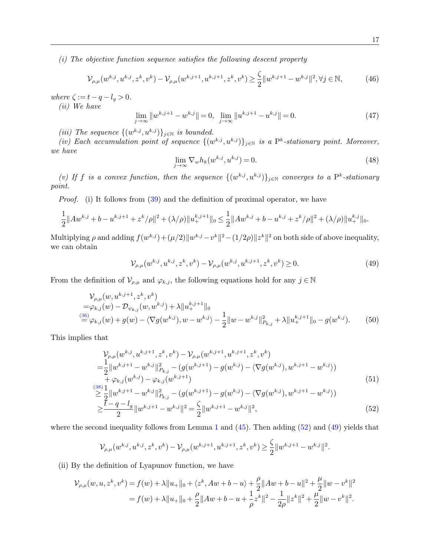(i) The objective function sequence satisfies the following descent property

<span id="page-16-2"></span>
$$
\mathcal{V}_{\rho,\mu}(w^{k,j},u^{k,j},z^k,v^k) - \mathcal{V}_{\rho,\mu}(w^{k,j+1},u^{k,j+1},z^k,v^k) \ge \frac{\zeta}{2} \|w^{k,j+1} - w^{k,j}\|^2, \forall j \in \mathbb{N},\tag{46}
$$

where  $\zeta := t - q - l_g > 0$ .

(ii) We have

<span id="page-16-4"></span>
$$
\lim_{j \to \infty} \|w^{k,j+1} - w^{k,j}\| = 0, \quad \lim_{j \to \infty} \|u^{k,j+1} - u^{k,j}\| = 0.
$$
\n(47)

(iii) The sequence  $\{(w^{k,j}, u^{k,j})\}_{j\in\mathbb{N}}$  is bounded.

(iv) Each accumulation point of sequence  $\{(w^{k,j}, u^{k,j})\}_{j\in\mathbb{N}}$  is a P<sup>k</sup>-stationary point. Moreover, we have

<span id="page-16-5"></span>
$$
\lim_{j \to \infty} \nabla_w h_k(w^{k,j}, u^{k,j}) = 0. \tag{48}
$$

(v) If f is a convex function, then the sequence  $\{(w^{k,j}, u^{k,j})\}_{j\in\mathbb{N}}$  converges to a P<sup>k</sup>-stationary point.

Proof. (i) It follows from [\(39\)](#page-14-4) and the definition of proximal operator, we have

<span id="page-16-1"></span>
$$
\frac{1}{2}||Aw^{k,j}+b-u^{k,j+1}+z^k/\rho||^2+(\lambda/\rho)||u^{k,j+1}_+||_0\leq \frac{1}{2}||Aw^{k,j}+b-u^{k,j}+z^k/\rho||^2+(\lambda/\rho)||u^{k,j}_+||_0.
$$

Multiplying  $\rho$  and adding  $f(w^{k,j}) + (\mu/2) \|w^{k,j} - v^k\|^2 - (1/2\rho) \|z^k\|^2$  on both side of above inequality, we can obtain

<span id="page-16-6"></span>
$$
\mathcal{V}_{\rho,\mu}(w^{k,j},u^{k,j},z^k,v^k) - \mathcal{V}_{\rho,\mu}(w^{k,j},u^{k,j+1},z^k,v^k) \ge 0.
$$
\n(49)

From the definition of  $\mathcal{V}_{\rho,\mu}$  and  $\varphi_{k,j}$ , the following equations hold for any  $j \in \mathbb{N}$ 

$$
\mathcal{V}_{\rho,\mu}(w, u^{k,j+1}, z^k, v^k)
$$
  
= $\varphi_{k,j}(w) - \mathcal{D}_{\psi_{k,j}}(w, w^{k,j}) + \lambda \|u^{k,j+1}\|_0$   

$$
\stackrel{(36)}{=} \varphi_{k,j}(w) + g(w) - \langle \nabla g(w^{k,j}), w - w^{k,j} \rangle - \frac{1}{2} \|w - w^{k,j}\|_{P_{k,j}}^2 + \lambda \|u^{k,j+1}\|_0 - g(w^{k,j}). \tag{50}
$$

This implies that

$$
\mathcal{V}_{\rho,\mu}(w^{k,j},u^{k,j+1},z^k,v^k) - \mathcal{V}_{\rho,\mu}(w^{k,j+1},u^{k,j+1},z^k,v^k)
$$
\n
$$
= \frac{1}{2} ||w^{k,j+1} - w^{k,j}||_{P_{k,j}}^2 - (g(w^{k,j+1}) - g(w^{k,j}) - \langle \nabla g(w^{k,j}),w^{k,j+1} - w^{k,j} \rangle) + \varphi_{k,j}(w^{k,j}) - \varphi_{k,j}(w^{k,j+1})
$$
\n(51)

$$
\sum_{i=1}^{(38)} \frac{1}{2} \|w^{k,j+1} - w^{k,j}\|_{P_{k,j}}^2 - (g(w^{k,j+1}) - g(w^{k,j}) - \langle \nabla g(w^{k,j}), w^{k,j+1} - w^{k,j} \rangle) \n\geq \frac{t - q - l_g}{2} \|w^{k,j+1} - w^{k,j}\|^2 = \frac{\zeta}{2} \|w^{k,j+1} - w^{k,j}\|^2,
$$
\n(52)

where the second inequality follows from Lemma [1](#page-4-7) and  $(45)$ . Then adding  $(52)$  and  $(49)$  yields that

<span id="page-16-3"></span><span id="page-16-0"></span>
$$
\mathcal{V}_{\rho,\mu}(w^{k,j},u^{k,j},z^k,v^k)-\mathcal{V}_{\rho,\mu}(w^{k,j+1},u^{k,j+1},z^k,v^k)\geq \frac{\zeta}{2}\|w^{k,j+1}-w^{k,j}\|^2.
$$

(ii) By the definition of Lyapunov function, we have

$$
\mathcal{V}_{\rho,\mu}(w,u,z^k,v^k) = f(w) + \lambda \|u_+\|_0 + \langle z^k, Aw + b - u \rangle + \frac{\rho}{2} \|Aw + b - u\|^2 + \frac{\mu}{2} \|w - v^k\|^2
$$
  
=  $f(w) + \lambda \|u_+\|_0 + \frac{\rho}{2} \|Aw + b - u + \frac{1}{\rho}z^k\|^2 - \frac{1}{2\rho} \|z^k\|^2 + \frac{\mu}{2} \|w - v^k\|^2.$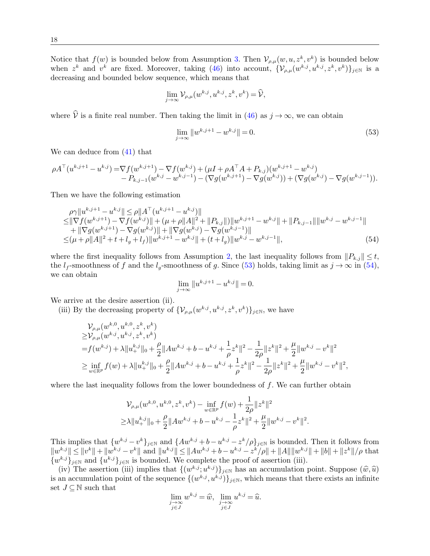Notice that  $f(w)$  is bounded below from Assumption [3.](#page-15-3) Then  $\mathcal{V}_{\rho,\mu}(w,u,z^k,v^k)$  is bounded below when  $z^k$  and  $v^k$  are fixed. Moreover, taking [\(46\)](#page-16-2) into account,  $\{\mathcal{V}_{\rho,\mu}(w^{k,j},u^{k,j},z^k,v^k)\}_{j\in\mathbb{N}}$  is a decreasing and bounded below sequence, which means that

$$
\lim_{j \to \infty} \mathcal{V}_{\rho,\mu}(w^{k,j}, u^{k,j}, z^k, v^k) = \widehat{\mathcal{V}},
$$

where  $\hat{V}$  is a finite real number. Then taking the limit in [\(46\)](#page-16-2) as  $j \to \infty$ , we can obtain

$$
\lim_{j \to \infty} \|w^{k,j+1} - w^{k,j}\| = 0.
$$
\n(53)

We can deduce from [\(41\)](#page-14-6) that

$$
\rho A^{\top}(u^{k,j+1}-u^{k,j}) = \nabla f(w^{k,j+1}) - \nabla f(w^{k,j}) + (\mu I + \rho A^{\top} A + P_{k,j})(w^{k,j+1}-w^{k,j}) -P_{k,j-1}(w^{k,j}-w^{k,j-1}) - (\nabla g(w^{k,j+1}) - \nabla g(w^{k,j})) + (\nabla g(w^{k,j}) - \nabla g(w^{k,j-1})).
$$

Then we have the following estimation

$$
\rho \gamma \|u^{k,j+1} - u^{k,j}\| \le \rho \|A^{\top} (u^{k,j+1} - u^{k,j})\| \le \|\nabla f(w^{k,j+1}) - \nabla f(w^{k,j})\| + (\mu + \rho \|A\|^2 + \|P_{k,j}\|) \|w^{k,j+1} - w^{k,j}\| + \|P_{k,j-1}\| \|w^{k,j} - w^{k,j-1}\| \n+ \|\nabla g(w^{k,j+1}) - \nabla g(w^{k,j})\| + \|\nabla g(w^{k,j}) - \nabla g(w^{k,j-1})\| \le (\mu + \rho \|A\|^2 + t + l_g + l_f) \|w^{k,j+1} - w^{k,j}\| + (t + l_g) \|w^{k,j} - w^{k,j-1}\|,
$$
\n(54)

where the first inequality follows from Assumption [2,](#page-15-2) the last inequality follows from  $||P_{k,j}|| \leq t$ , the  $l_f$ -smoothness of f and the  $l_g$ -smoothness of g. Since [\(53\)](#page-16-3) holds, taking limit as  $j \to \infty$  in [\(54\)](#page-17-0), we can obtain

<span id="page-17-0"></span>
$$
\lim_{j \to \infty} \|u^{k,j+1} - u^{k,j}\| = 0.
$$

We arrive at the desire assertion (ii).

(iii) By the decreasing property of  $\{\mathcal{V}_{\rho,\mu}(w^{k,j},u^{k,j},z^k,v^k)\}_{j\in\mathbb{N}}$ , we have

$$
\label{eq:Vrho} \begin{split} &\mathcal{V}_{\rho,\mu}(w^{k,0},u^{k,0},z^k,v^k)\\ \geq&\mathcal{V}_{\rho,\mu}(w^{k,j},u^{k,j},z^k,v^k)\\ =&f(w^{k,j})+\lambda\|u^{k,j}_+\|_0+\frac{\rho}{2}\|Aw^{k,j}+b-u^{k,j}+\frac{1}{\rho}z^k\|^2-\frac{1}{2\rho}\|z^k\|^2+\frac{\mu}{2}\|w^{k,j}-v^k\|^2\\ \geq&\inf_{w\in\mathbb{R}^p}f(w)+\lambda\|u^{k,j}_+\|_0+\frac{\rho}{2}\|Aw^{k,j}+b-u^{k,j}+\frac{1}{\rho}z^k\|^2-\frac{1}{2\rho}\|z^k\|^2+\frac{\mu}{2}\|w^{k,j}-v^k\|^2, \end{split}
$$

where the last inequality follows from the lower boundedness of  $f$ . We can further obtain

$$
\mathcal{V}_{\rho,\mu}(w^{k,0},u^{k,0},z^k,v^k) - \inf_{w \in \mathbb{R}^p} f(w) + \frac{1}{2\rho} \|z^k\|^2
$$
  
\n
$$
\geq \lambda \|u_+^{k,j}\|_0 + \frac{\rho}{2} \|Aw^{k,j} + b - u^{k,j} - \frac{1}{\rho}z^k\|^2 + \frac{\mu}{2} \|w^{k,j} - v^k\|^2.
$$

This implies that  $\{w^{k,j} - v^k\}_{j \in \mathbb{N}}$  and  $\{Aw^{k,j} + b - u^{k,j} - z^k/\rho\}_{j \in \mathbb{N}}$  is bounded. Then it follows from  $||w^{k,j}|| \le ||v^k|| + ||w^{k,j} - v^k||$  and  $||u^{k,j}|| \le ||Aw^{k,j} + b - u^{k,j} - z^k/\rho|| + ||A|| ||w^{k,j}|| + ||b|| + ||z^k||/\rho$  that  $\{w^{k,j}\}_{j\in\mathbb{N}}$  and  $\{u^{k,j}\}_{j\in\mathbb{N}}$  is bounded. We complete the proof of assertion (iii).

(iv) The assertion (iii) implies that  $\{(w^{k,j};u^{k,j})\}_{j\in\mathbb{N}}$  has an accumulation point. Suppose  $(\widehat{w}, \widehat{u})$ is an accumulation point of the sequence  $\{(w^{k,j}, u^{k,j})\}_{j\in\mathbb{N}}$ , which means that there exists an infinite set  $J \subseteq \mathbb{N}$  such that

$$
\lim_{\substack{j \to \infty \\ j \in J}} w^{k,j} = \widehat{w}, \lim_{\substack{j \to \infty \\ j \in J}} u^{k,j} = \widehat{u}.
$$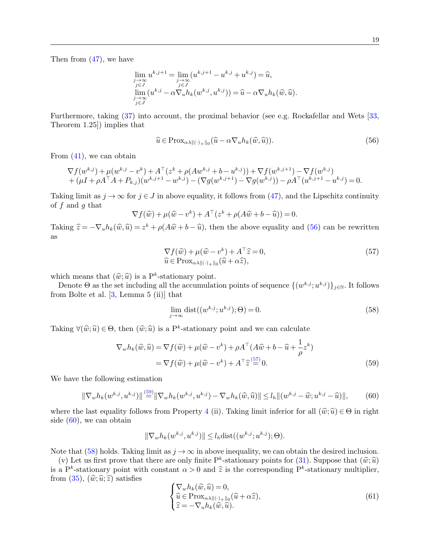Then from [\(47\)](#page-16-4), we have

$$
\lim_{\substack{j\to\infty\\j\in J}} u^{k,j+1} = \lim_{\substack{j\to\infty\\j\in J}} (u^{k,j+1} - u^{k,j} + u^{k,j}) = \widehat{u},
$$
  

$$
\lim_{\substack{j\to\infty\\j\to\infty}} (u^{k,j} - \alpha \nabla_u h_k(w^{k,j}, u^{k,j})) = \widehat{u} - \alpha \nabla_u h_k(\widehat{w}, \widehat{u}).
$$

Furthermore, taking [\(37\)](#page-14-2) into account, the proximal behavior (see e.g. Rockafellar and Wets [\[33,](#page-29-14) Theorem 1.25]) implies that

<span id="page-18-0"></span>
$$
\widehat{u} \in \text{Prox}_{\alpha\lambda \|(\cdot)_{+}\|_{0}}(\widehat{u} - \alpha \nabla_{u} h_{k}(\widehat{w}, \widehat{u})).
$$
\n
$$
(56)
$$

From  $(41)$ , we can obtain

$$
\nabla f(w^{k,j}) + \mu(w^{k,j} - v^k) + A^{\top}(z^k + \rho(Aw^{k,j} + b - u^{k,j})) + \nabla f(w^{k,j+1}) - \nabla f(w^{k,j}) + (\mu I + \rho A^{\top} A + P_{k,j})(w^{k,j+1} - w^{k,j}) - (\nabla g(w^{k,j+1}) - \nabla g(w^{k,j})) - \rho A^{\top}(u^{k,j+1} - u^{k,j}) = 0.
$$

Taking limit as  $j \to \infty$  for  $j \in J$  in above equality, it follows from [\(47\)](#page-16-4), and the Lipschitz continuity of  $f$  and  $g$  that

<span id="page-18-1"></span>
$$
\nabla f(\widehat{w}) + \mu(\widehat{w} - v^k) + A^\top (z^k + \rho(A\widehat{w} + b - \widehat{u})) = 0.
$$

Taking  $\hat{z} = -\nabla_u h_k(\hat{w}, \hat{u}) = z^k + \rho(A\hat{w} + b - \hat{u})$ , then the above equality and [\(56\)](#page-18-0) can be rewritten as

$$
\nabla f(\widehat{w}) + \mu(\widehat{w} - v^k) + A^\top \widehat{z} = 0,
$$
  
\n
$$
\widehat{u} \in \text{Prox}_{\alpha \lambda \|(\cdot) + \|_0}(\widehat{u} + \alpha \widehat{z}),
$$
\n(57)

which means that  $(\hat{w}; \hat{u})$  is a P<sup>k</sup>-stationary point.<br>Denote  $\Theta$  as the set including all the accumulat

Denote  $\Theta$  as the set including all the accumulation points of sequence  $\{(w^{k,j}; u^{k,j})\}_{j\in\mathbb{N}}$ . It follows from Bolte et al. [\[3,](#page-28-14) Lemma 5 (ii)] that

<span id="page-18-4"></span><span id="page-18-3"></span><span id="page-18-2"></span>
$$
\lim_{j \to \infty} \text{dist}((w^{k,j}; u^{k,j}); \Theta) = 0. \tag{58}
$$

Taking  $\forall (\hat{w}; \hat{u}) \in \Theta$ , then  $(\hat{w}; \hat{u})$  is a P<sup>k</sup>-stationary point and we can calculate

$$
\nabla_w h_k(\widehat{w}, \widehat{u}) = \nabla f(\widehat{w}) + \mu(\widehat{w} - v^k) + \rho A^\top (A\widehat{w} + b - \widehat{u} + \frac{1}{\rho} z^k)
$$
  
=  $\nabla f(\widehat{w}) + \mu(\widehat{w} - v^k) + A^\top \widehat{z}^{(\frac{5\tau}{\alpha})} 0.$  (59)

We have the following estimation

$$
\|\nabla_w h_k(w^{k,j}, u^{k,j})\| \stackrel{(59)}{=} \|\nabla_w h_k(w^{k,j}, u^{k,j}) - \nabla_w h_k(\widehat{w}, \widehat{u})\| \le l_h \|(w^{k,j} - \widehat{w}; u^{k,j} - \widehat{u})\|, \tag{60}
$$

where the last equality follows from Property [4](#page-12-4) (ii). Taking limit inferior for all  $(\hat{w};\hat{u}) \in \Theta$  in right side  $(60)$ , we can obtain

<span id="page-18-5"></span>
$$
\|\nabla_w h_k(w^{k,j}, u^{k,j})\| \le l_h \text{dist}((w^{k,j}; u^{k,j}); \Theta).
$$

Note that [\(58\)](#page-18-4) holds. Taking limit as  $j \to \infty$  in above inequality, we can obtain the desired inclusion.

(v) Let us first prove that there are only finite  $P^k$ -stationary points for  $(31)$ . Suppose that  $(\hat{w};\hat{u})$ <br>a  $P^k$  stationary point with constant  $\alpha > 0$  and  $\hat{\alpha}$  is the corresponding  $P^k$  stationary multiplier is a P<sup>k</sup>-stationary point with constant  $\alpha > 0$  and  $\hat{z}$  is the corresponding P<sup>k</sup>-stationary multiplier,<br>from (35) ( $\hat{w}, \hat{w}, \hat{z}$ ) satisfies from [\(35\)](#page-13-1),  $(\hat{w}; \hat{u}; \hat{z})$  satisfies

$$
\begin{cases} \nabla_w h_k(\widehat{w}, \widehat{u}) = 0, \\ \widehat{u} \in \text{Prox}_{\alpha \lambda \|(\cdot) + \|_0}(\widehat{u} + \alpha \widehat{z}), \\ \widehat{z} = -\nabla_u h_k(\widehat{w}, \widehat{u}). \end{cases} \tag{61}
$$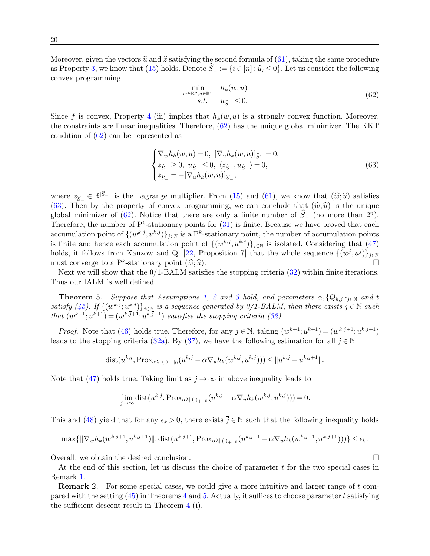Moreover, given the vectors  $\hat{u}$  and  $\hat{z}$  satisfying the second formula of [\(61\)](#page-18-5), taking the same procedure as Property [3,](#page-7-2) we know that [\(15\)](#page-7-0) holds. Denote  $\hat{S}_- := \{i \in [n] : \hat{u}_i \leq 0\}$ . Let us consider the following convex programming

<span id="page-19-1"></span>
$$
\min_{w \in \mathbb{R}^p, u \in \mathbb{R}^n} \quad h_k(w, u)
$$
  
s.t.  $u_{\widehat{S}_-} \leq 0.$  (62)

Since f is convex, Property [4](#page-12-4) (iii) implies that  $h_k(w, u)$  is a strongly convex function. Moreover, the constraints are linear inequalities. Therefore, [\(62\)](#page-19-1) has the unique global minimizer. The KKT condition of [\(62\)](#page-19-1) can be represented as

<span id="page-19-2"></span>
$$
\begin{cases} \nabla_w h_k(w, u) = 0, \ [\nabla_u h_k(w, u)]_{\widehat{S}^c_-} = 0, \\ z_{\widehat{S}_-} \ge 0, \ u_{\widehat{S}_-} \le 0, \ \langle z_{\widehat{S}_-}, u_{\widehat{S}_-} \rangle = 0, \\ z_{\widehat{S}_-} = -[\nabla_u h_k(w, u)]_{\widehat{S}_-}, \end{cases} \tag{63}
$$

where  $z_{\widehat{S}} \in \mathbb{R}^{|\widehat{S}-|}$  is the Lagrange multiplier. From [\(15\)](#page-7-0) and [\(61\)](#page-18-5), we know that  $(\widehat{w};\widehat{u})$  satisfies (62). Then by the property of convey programming we can conclude that  $(\widehat{w};\widehat{u})$  is the unique [\(63\)](#page-19-2). Then by the property of convex programming, we can conclude that  $(\hat{w};\hat{u})$  is the unique global minimizer of [\(62\)](#page-19-1). Notice that there are only a finite number of  $S_-\$  (no more than  $2^n$ ). Therefore, the number of  $P^k$ -stationary points for  $(31)$  is finite. Because we have proved that each accumulation point of  $\{(w^{k,j}, u^{k,j})\}_{j\in\mathbb{N}}$  is a P<sup>k</sup>-stationary point, the number of accumulation points is finite and hence each accumulation point of  $\{(w^{k,j}, u^{k,j})\}_{j\in\mathbb{N}}$  is isolated. Considering that  $(47)$ holds, it follows from Kanzow and Qi [\[22,](#page-28-16) Proposition 7] that the whole sequence  $\{(w^j, u^j)\}_{j \in \mathbb{N}}$ must converge to a P<sup>k</sup>-stationary point  $(\hat{w}; \hat{u})$ . ust converge to a  $P^k$ -stationary point  $(\hat{w};\hat{u})$ .  $\Box$ <br>Next we will show that the 0/1-BALM satisfies the stopping criteria [\(32\)](#page-12-5) within finite iterations.

Thus our IALM is well defined.

<span id="page-19-0"></span>**Theorem** 5. Suppose that Assumptions [1,](#page-12-1) [2](#page-15-2) and [3](#page-15-3) hold, and parameters  $\alpha$ ,  $\{Q_{k,j}\}_{j\in\mathbb{N}}$  and t satisfy [\(45\)](#page-15-4). If  $\{(w^{k,j}; u^{k,j})\}_{j\in\mathbb{N}}$  is a sequence generated by 0/1-BALM, then there exists  $\overline{j} \in \mathbb{N}$  such that  $(w^{k+1}; u^{k+1}) = (w^{k,j+1}; u^{k,j+1})$  satisfies the stopping criteria [\(32\)](#page-12-5).

*Proof.* Note that [\(46\)](#page-16-2) holds true. Therefore, for any  $j \in \mathbb{N}$ , taking  $(w^{k+1}; u^{k+1}) = (w^{k,j+1}; u^{k,j+1})$ leads to the stopping criteria [\(32a\)](#page-12-6). By [\(37\)](#page-14-2), we have the following estimation for all  $j \in \mathbb{N}$ 

dist
$$
(u^{k,j}, \text{Prox}_{\alpha\lambda\|(\cdot)_{+}\|_{0}}(u^{k,j} - \alpha \nabla_{u} h_{k}(w^{k,j}, u^{k,j}))) \leq ||u^{k,j} - u^{k,j+1}||.
$$

Note that [\(47\)](#page-16-4) holds true. Taking limit as  $j \to \infty$  in above inequality leads to

$$
\lim_{j \to \infty} \text{dist}(u^{k,j}, \text{Prox}_{\alpha \lambda \|(\cdot)_{+} \|_{0}}(u^{k,j} - \alpha \nabla_{u} h_{k}(w^{k,j}, u^{k,j}))) = 0.
$$

This and [\(48\)](#page-16-5) yield that for any  $\epsilon_k > 0$ , there exists  $\overline{j} \in \mathbb{N}$  such that the following inequality holds

$$
\max\{\|\nabla_w h_k(w^{k,\overline{j}+1}, u^{k,\overline{j}+1})\|, \text{dist}(u^{k,\overline{j}+1}, \text{Prox}_{\alpha\lambda\|\langle\cdot\rangle_+\|_0}(u^{k,\overline{j}+1}-\alpha\nabla_u h_k(w^{k,\overline{j}+1}, u^{k,\overline{j}+1})))\}\leq \epsilon_k.
$$

Overall, we obtain the desired conclusion.

At the end of this section, let us discuss the choice of parameter  $t$  for the two special cases in Remark [1.](#page-14-1)

Remark 2. For some special cases, we could give a more intuitive and larger range of t compared with the setting  $(45)$  in Theorems [4](#page-15-5) and [5.](#page-19-0) Actually, it suffices to choose parameter t satisfying the sufficient descent result in Theorem [4](#page-15-5) (i).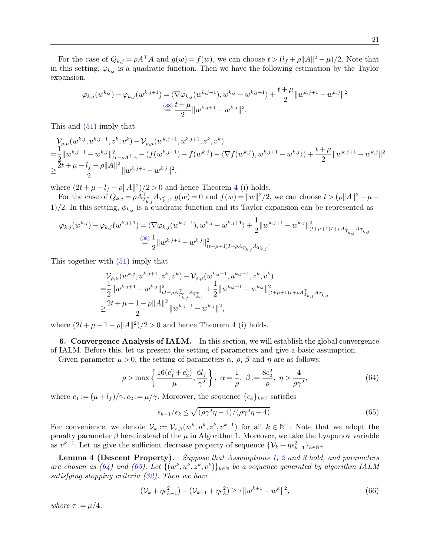For the case of  $Q_{k,j} = \rho A^\top A$  and  $g(w) = f(w)$ , we can choose  $t > (l_f + \rho ||A||^2 - \mu)/2$ . Note that in this setting,  $\varphi_{k,j}$  is a quadratic function. Then we have the following estimation by the Taylor expansion,

$$
\varphi_{k,j}(w^{k,j}) - \varphi_{k,j}(w^{k,j+1}) = \langle \nabla \varphi_{k,j}(w^{k,j+1}), w^{k,j} - w^{k,j+1} \rangle + \frac{t + \mu}{2} ||w^{k,j+1} - w^{k,j}||^2
$$
  

$$
\stackrel{\text{(38)}}{=} \frac{t + \mu}{2} ||w^{k,j+1} - w^{k,j}||^2.
$$

This and [\(51\)](#page-16-6) imply that

$$
\begin{split} & \mathcal{V}_{\rho,\mu}(w^{k,j},u^{k,j+1},z^k,v^k)-\mathcal{V}_{\rho,\mu}(w^{k,j+1},u^{k,j+1},z^k,v^k) \\ =&\frac{1}{2}\|w^{k,j+1}-w^{k,j}\|_{tI-\rho A^\top A}^2-\left(f(w^{k,j+1})-f(w^{k,j})-\langle \nabla f(w^{k,j}),w^{k,j+1}-w^{k,j}\rangle\right)+\frac{t+\mu}{2}\|w^{k,j+1}-w^{k,j}\|^2 \\ \geq& \frac{2t+\mu-l_f-\rho\|A\|^2}{2}\|w^{k,j+1}-w^{k,j}\|^2, \end{split}
$$

where  $(2t + \mu - l_f - \rho ||A||^2)/2 > 0$  and hence Theorem [4](#page-15-5) (i) holds.

For the case of  $Q_{k,j} = \rho A_{T_{k,j}^c}^{\top} A_{T_{k,j}^c}$ ,  $g(w) = 0$  and  $f(w) = ||w||^2/2$ , we can choose  $t > (\rho ||A||^2 - \mu - \rho)$ 1)/2. In this setting,  $\phi_{k,j}$  is a quadratic function and its Taylor expansion can be represented as

$$
\varphi_{k,j}(w^{k,j}) - \varphi_{k,j}(w^{k,j+1}) = \langle \nabla \varphi_{k,j}(w^{k,j+1}), w^{k,j} - w^{k,j+1} \rangle + \frac{1}{2} ||w^{k,j+1} - w^{k,j}||_{(t+\mu+1)I + \rho A_{T_{k,j}}^T A_{T_{k,j}}^T A_{T_{k,j}}}
$$

$$
\stackrel{\text{(38)}}{=} \frac{1}{2} ||w^{k,j+1} - w^{k,j}||_{(t+\mu+1)I + \rho A_{T_{k,j}}^T A_{T_{k,j}}}^2.
$$

This together with [\(51\)](#page-16-6) imply that

$$
\begin{split} & \mathcal{V}_{\rho,\mu}(w^{k,j},u^{k,j+1},z^k,v^k)-\mathcal{V}_{\rho,\mu}(w^{k,j+1},u^{k,j+1},z^k,v^k) \\ =&\frac{1}{2}\|w^{k,j+1}-w^{k,j}\|_{tI-\rho A_{T_{k,j}^c}^{\top}A_{T_{k,j}^c}}^2+\frac{1}{2}\|w^{k,j+1}-w^{k,j}\|_{(t+\mu+1)I+\rho A_{T_{k,j}^c}^{\top}A_{T_{k,j}^c}}^2\\ \geq& \frac{2t+\mu+1-\rho\|A\|^2}{2}\|w^{k,j+1}-w^{k,j}\|^2, \end{split}
$$

where  $(2t + \mu + 1 - \rho ||A||^2)/2 > 0$  and hence Theorem [4](#page-15-5) (i) holds.

<span id="page-20-0"></span>6. Convergence Analysis of IALM. In this section, we will establish the global convergence of IALM. Before this, let us present the setting of parameters and give a basic assumption.

Given parameter  $\mu > 0$ , the setting of parameters  $\alpha$ ,  $\rho$ ,  $\beta$  and  $\eta$  are as follows:

$$
\rho > \max\left\{\frac{16(c_1^2 + c_2^2)}{\mu}, \frac{6l_f}{\gamma^2}\right\}, \ \alpha = \frac{1}{\rho}, \ \beta := \frac{8c_2^2}{\rho}, \ \eta > \frac{4}{\rho\gamma^2},\tag{64}
$$

where  $c_1 := (\mu + l_f)/\gamma$ ,  $c_2 := \mu/\gamma$ . Moreover, the sequence  $\{\epsilon_k\}_{k \in \mathbb{N}}$  satisfies

<span id="page-20-3"></span><span id="page-20-2"></span><span id="page-20-1"></span>
$$
\epsilon_{k+1}/\epsilon_k \le \sqrt{(\rho \gamma^2 \eta - 4)/(\rho \gamma^2 \eta + 4)}.
$$
\n(65)

For convenience, we denote  $\mathcal{V}_k := \mathcal{V}_{\rho,\beta}(w^k, u^k, z^k, v^{k-1})$  for all  $k \in \mathbb{N}^+$ . Note that we adopt the penalty parameter  $\beta$  here instead of the  $\mu$  in Algorithm [1.](#page-12-7) Moreover, we take the Lyapunov variable as  $v^{k-1}$ . Let us give the sufficient decrease property of sequence  $\{\mathcal{V}_k + \eta \epsilon_{k-1}^2\}_{k \in \mathbb{N}^+}$ .

Lemma 4 (Descent Property). Suppose that Assumptions [1,](#page-12-1) [2](#page-15-2) and [3](#page-15-3) hold, and parameters are chosen as [\(64\)](#page-20-1) and [\(65\)](#page-20-2). Let  $\{(w^k, u^k, z^k, v^k)\}_{k\in\mathbb{N}}$  be a sequence generated by algorithm IALM satisfying stopping criteria [\(32\)](#page-12-5). Then we have

<span id="page-20-4"></span>
$$
(\mathcal{V}_k + \eta \epsilon_{k-1}^2) - (\mathcal{V}_{k+1} + \eta \epsilon_k^2) \ge \tau \|w^{k+1} - w^k\|^2,
$$
\n(66)

where  $\tau := \mu/4$ .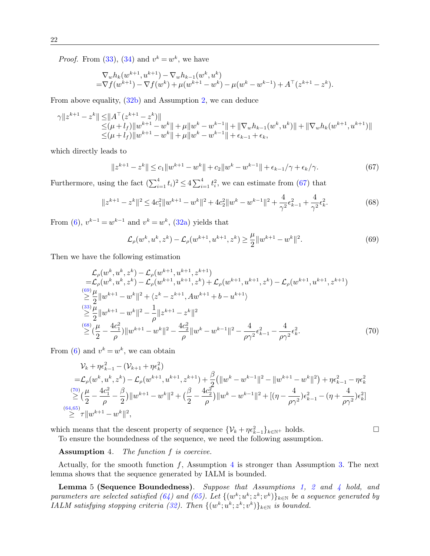*Proof.* From [\(33\)](#page-12-8), [\(34\)](#page-12-2) and  $v^k = w^k$ , we have

$$
\nabla_w h_k(w^{k+1}, u^{k+1}) - \nabla_w h_{k-1}(w^k, u^k) \n= \nabla f(w^{k+1}) - \nabla f(w^k) + \mu(w^{k+1} - w^k) - \mu(w^k - w^{k-1}) + A^{\top}(z^{k+1} - z^k).
$$

From above equality, [\(32b\)](#page-12-9) and Assumption [2,](#page-15-2) we can deduce

$$
\gamma \|z^{k+1} - z^k\| \le \|A^\top (z^{k+1} - z^k)\|
$$
  
\n
$$
\le (\mu + l_f) \|w^{k+1} - w^k\| + \mu \|w^k - w^{k-1}\| + \|\nabla_w h_{k-1}(w^k, u^k)\| + \|\nabla_w h_k(w^{k+1}, u^{k+1})\|
$$
  
\n
$$
\le (\mu + l_f) \|w^{k+1} - w^k\| + \mu \|w^k - w^{k-1}\| + \epsilon_{k-1} + \epsilon_k,
$$

which directly leads to

<span id="page-21-0"></span>
$$
||z^{k+1} - z^k|| \le c_1 ||w^{k+1} - w^k|| + c_2 ||w^k - w^{k-1}|| + \epsilon_{k-1} / \gamma + \epsilon_k / \gamma.
$$
 (67)

Furthermore, using the fact  $(\sum_{i=1}^{4} t_i)^2 \leq 4 \sum_{i=1}^{4} t_i^2$ , we can estimate from [\(67\)](#page-21-0) that

<span id="page-21-2"></span>
$$
||z^{k+1} - z^k||^2 \le 4c_1^2 ||w^{k+1} - w^k||^2 + 4c_2^2 ||w^k - w^{k-1}||^2 + \frac{4}{\gamma^2} \epsilon_{k-1}^2 + \frac{4}{\gamma^2} \epsilon_k^2.
$$
 (68)

From [\(6\)](#page-4-2),  $v^{k-1} = w^{k-1}$  and  $v^k = w^k$ , [\(32a\)](#page-12-6) yields that

<span id="page-21-1"></span>
$$
\mathcal{L}_{\rho}(w^k, u^k, z^k) - \mathcal{L}_{\rho}(w^{k+1}, u^{k+1}, z^k) \ge \frac{\mu}{2} \|w^{k+1} - w^k\|^2. \tag{69}
$$

Then we have the following estimation

$$
\mathcal{L}_{\rho}(w^{k}, u^{k}, z^{k}) - \mathcal{L}_{\rho}(w^{k+1}, u^{k+1}, z^{k+1})
$$
\n
$$
= \mathcal{L}_{\rho}(w^{k}, u^{k}, z^{k}) - \mathcal{L}_{\rho}(w^{k+1}, u^{k+1}, z^{k}) + \mathcal{L}_{\rho}(w^{k+1}, u^{k+1}, z^{k}) - \mathcal{L}_{\rho}(w^{k+1}, u^{k+1}, z^{k+1})
$$
\n
$$
\stackrel{(69)}{\geq} \frac{\mu}{2} ||w^{k+1} - w^{k}||^{2} + \langle z^{k} - z^{k+1}, Aw^{k+1} + b - u^{k+1} \rangle
$$
\n
$$
\stackrel{(33)}{\geq} \frac{\mu}{2} ||w^{k+1} - w^{k}||^{2} - \frac{1}{\rho} ||z^{k+1} - z^{k}||^{2}
$$
\n
$$
\stackrel{(68)}{\geq} (\frac{\mu}{2} - \frac{4c_{1}^{2}}{\rho}) ||w^{k+1} - w^{k}||^{2} - \frac{4c_{2}^{2}}{\rho} ||w^{k} - w^{k-1}||^{2} - \frac{4}{\rho \gamma^{2}} \epsilon_{k-1}^{2} - \frac{4}{\rho \gamma^{2}} \epsilon_{k}^{2}.
$$
\n(70)

From [\(6\)](#page-4-2) and  $v^k = w^k$ , we can obtain

<span id="page-21-5"></span>
$$
\mathcal{V}_{k} + \eta \epsilon_{k-1}^{2} - (\mathcal{V}_{k+1} + \eta \epsilon_{k}^{2})
$$
\n
$$
= \mathcal{L}_{\rho}(w^{k}, u^{k}, z^{k}) - \mathcal{L}_{\rho}(w^{k+1}, u^{k+1}, z^{k+1}) + \frac{\beta}{2} (\|w^{k} - w^{k-1}\|^{2} - \|w^{k+1} - w^{k}\|^{2}) + \eta \epsilon_{k-1}^{2} - \eta \epsilon_{k}^{2}
$$
\n
$$
\geq (\frac{\mu}{2} - \frac{4c_{1}^{2}}{\rho} - \frac{\beta}{2}) \|w^{k+1} - w^{k}\|^{2} + (\frac{\beta}{2} - \frac{4c_{2}^{2}}{\rho}) \|w^{k} - w^{k-1}\|^{2} + [(\eta - \frac{4}{\rho\gamma^{2}})\epsilon_{k-1}^{2} - (\eta + \frac{4}{\rho\gamma^{2}})\epsilon_{k}^{2}]
$$
\n
$$
\geq \tau \|w^{k+1} - w^{k}\|^{2},
$$

which means that the descent property of sequence  $\{\mathcal{V}_k + \eta \epsilon_{k-1}^2\}_{k \in \mathbb{N}^+}$  holds.

<span id="page-21-3"></span>

To ensure the boundedness of the sequence, we need the following assumption.

<span id="page-21-4"></span>Assumption 4. The function f is coercive.

Actually, for the smooth function  $f$ , Assumption [4](#page-21-4) is stronger than Assumption [3.](#page-15-3) The next lemma shows that the sequence generated by IALM is bounded.

<span id="page-21-6"></span>**Lemma** 5 (Sequence Boundedness). Suppose that Assumptions [1,](#page-12-1) [2](#page-15-2) and [4](#page-21-4) hold, and parameters are selected satisfied [\(64\)](#page-20-1) and [\(65\)](#page-20-2). Let  $\{(w^k; u^k; z^k; v^k)\}_{k\in\mathbb{N}}$  be a sequence generated by IALM satisfying stopping criteria [\(32\)](#page-12-5). Then  $\{(w^k; u^k; z^k; v^k)\}_{k\in \mathbb{N}}$  is bounded.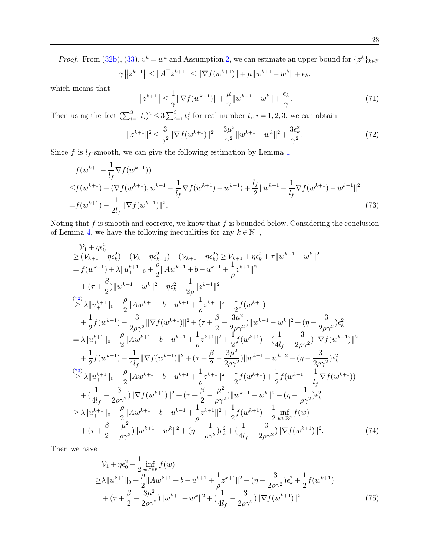*Proof.* From [\(32b\)](#page-12-9), [\(33\)](#page-12-8),  $v^k = w^k$  and Assumption [2,](#page-15-2) we can estimate an upper bound for  $\{z^k\}_{k \in \mathbb{N}}$ 

$$
\gamma ||z^{k+1}|| \le ||A^\top z^{k+1}|| \le ||\nabla f(w^{k+1})|| + \mu ||w^{k+1} - w^k|| + \epsilon_k,
$$

which means that

$$
||z^{k+1}|| \leq \frac{1}{\gamma} ||\nabla f(w^{k+1})|| + \frac{\mu}{\gamma} ||w^{k+1} - w^k|| + \frac{\epsilon_k}{\gamma}.
$$
\n(71)

Then using the fact  $(\sum_{i=1}^3 t_i)^2 \leq 3 \sum_{i=1}^3 t_i^2$  for real number  $t_i, i = 1, 2, 3$ , we can obtain

<span id="page-22-1"></span><span id="page-22-0"></span>
$$
||z^{k+1}||^2 \le \frac{3}{\gamma^2} ||\nabla f(w^{k+1})||^2 + \frac{3\mu^2}{\gamma^2} ||w^{k+1} - w^k||^2 + \frac{3\epsilon_k^2}{\gamma^2}.
$$
 (72)

Since f is  $l_f$ -smooth, we can give the following estimation by Lemma [1](#page-4-7)

$$
f(w^{k+1} - \frac{1}{l_f} \nabla f(w^{k+1}))
$$
  
\n
$$
\leq f(w^{k+1}) + \langle \nabla f(w^{k+1}), w^{k+1} - \frac{1}{l_f} \nabla f(w^{k+1}) - w^{k+1} \rangle + \frac{l_f}{2} ||w^{k+1} - \frac{1}{l_f} \nabla f(w^{k+1}) - w^{k+1}||^2
$$
  
\n
$$
= f(w^{k+1}) - \frac{1}{2l_f} ||\nabla f(w^{k+1})||^2.
$$
\n(73)

Noting that  $f$  is smooth and coercive, we know that  $f$  is bounded below. Considering the conclusion of Lemma [4,](#page-20-3) we have the following inequalities for any  $k \in \mathbb{N}^+$ ,

$$
\nu_{1} + \eta \epsilon_{0}^{2} \geq (\nu_{k+1} + \eta \epsilon_{k}^{2}) + (\nu_{k} + \eta \epsilon_{k-1}^{2}) - (\nu_{k+1} + \eta \epsilon_{k}^{2}) \geq \nu_{k+1} + \eta \epsilon_{k}^{2} + \tau ||w^{k+1} - w^{k}||^{2}
$$
\n
$$
= f(w^{k+1}) + \lambda ||u_{+}^{k+1}||_{0} + \frac{\rho}{2} ||Aw^{k+1} + b - u^{k+1} + \frac{1}{\rho} z^{k+1}||^{2}
$$
\n
$$
+ (\tau + \frac{\beta}{2}) ||w^{k+1} - w^{k}||^{2} + \eta \epsilon_{k}^{2} - \frac{1}{2\rho} ||z^{k+1}||^{2}
$$
\n
$$
\geq \lambda ||u_{+}^{k+1}||_{0} + \frac{\rho}{2} ||Aw^{k+1} + b - u^{k+1} + \frac{1}{\rho} z^{k+1}||^{2} + \frac{1}{2} f(w^{k+1})
$$
\n
$$
+ \frac{1}{2} f(w^{k+1}) - \frac{3}{2\rho \gamma^{2}} ||\nabla f(w^{k+1})||^{2} + (\tau + \frac{\beta}{2} - \frac{3\mu^{2}}{2\rho \gamma^{2}}) ||w^{k+1} - w^{k}||^{2} + (\eta - \frac{3}{2\rho \gamma^{2}}) \epsilon_{k}^{2}
$$
\n
$$
= \lambda ||u_{+}^{k+1}||_{0} + \frac{\rho}{2} ||Aw^{k+1} + b - u^{k+1} + \frac{1}{\rho} z^{k+1}||^{2} + \frac{1}{2} f(w^{k+1}) + (\frac{1}{4l_{f}} - \frac{3}{2\rho \gamma^{2}}) ||\nabla f(w^{k+1})||^{2}
$$
\n
$$
+ \frac{1}{2} f(w^{k+1}) - \frac{1}{4l_{f}} ||\nabla f(w^{k+1})||^{2} + (\tau + \frac{\beta}{2} - \frac{3\mu^{2}}{2\rho \gamma^{2}}) ||w^{k+1} - w^{k}||^{2} + (\eta - \frac{3}{2\rho \gamma^{2}}) \epsilon_{k}^{2}
$$
\n
$$
\geq \lambda ||u_{+}^{k+1}||_{0} + \frac{\rho}{2} ||Aw
$$

Then we have

<span id="page-22-2"></span>
$$
\mathcal{V}_{1} + \eta \epsilon_{0}^{2} - \frac{1}{2} \inf_{w \in \mathbb{R}^{p}} f(w)
$$
\n
$$
\geq \lambda \| u_{+}^{k+1} \|_{0} + \frac{\rho}{2} \| A w^{k+1} + b - u^{k+1} + \frac{1}{\rho} z^{k+1} \|^{2} + (\eta - \frac{3}{2\rho \gamma^{2}}) \epsilon_{k}^{2} + \frac{1}{2} f(w^{k+1})
$$
\n
$$
+ (\tau + \frac{\beta}{2} - \frac{3\mu^{2}}{2\rho \gamma^{2}}) \| w^{k+1} - w^{k} \|^{2} + (\frac{1}{4l_{f}} - \frac{3}{2\rho \gamma^{2}}) \| \nabla f(w^{k+1}) \|^{2}.
$$
\n(75)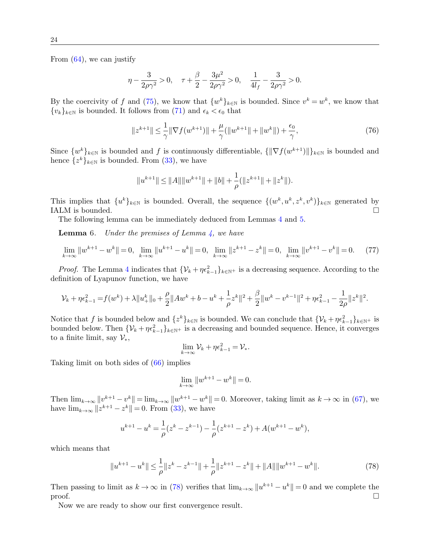From  $(64)$ , we can justify

$$
\eta - \frac{3}{2\rho\gamma^2} > 0, \quad \tau + \frac{\beta}{2} - \frac{3\mu^2}{2\rho\gamma^2} > 0, \quad \frac{1}{4l_f} - \frac{3}{2\rho\gamma^2} > 0.
$$

By the coercivity of f and [\(75\)](#page-22-2), we know that  $\{w^k\}_{k\in\mathbb{N}}$  is bounded. Since  $v^k = w^k$ , we know that  ${v_k}_{k\in\mathbb{N}}$  is bounded. It follows from [\(71\)](#page-21-5) and  $\epsilon_k < \epsilon_0$  that

$$
||z^{k+1}|| \leq \frac{1}{\gamma} ||\nabla f(w^{k+1})|| + \frac{\mu}{\gamma} (||w^{k+1}|| + ||w^k||) + \frac{\epsilon_0}{\gamma},
$$
\n(76)

Since  $\{w^k\}_{k\in\mathbb{N}}$  is bounded and f is continuously differentiable,  $\{\|\nabla f(w^{k+1})\|\}_{k\in\mathbb{N}}$  is bounded and hence  $\{z^k\}_{k\in\mathbb{N}}$  is bounded. From [\(33\)](#page-12-8), we have

<span id="page-23-2"></span>
$$
||u^{k+1}|| \le ||A|| ||w^{k+1}|| + ||b|| + \frac{1}{\rho} (||z^{k+1}|| + ||z^k||).
$$

This implies that  $\{u^k\}_{k\in\mathbb{N}}$  is bounded. Overall, the sequence  $\{(w^k, u^k, z^k, v^k)\}_{k\in\mathbb{N}}$  generated by IALM is bounded.

The following lemma can be immediately deduced from Lemmas [4](#page-20-3) and [5.](#page-21-6)

**Lemma** 6. Under the premises of Lemma  $\frac{1}{4}$ , we have

$$
\lim_{k \to \infty} \|w^{k+1} - w^k\| = 0, \quad \lim_{k \to \infty} \|w^{k+1} - w^k\| = 0, \quad \lim_{k \to \infty} \|z^{k+1} - z^k\| = 0, \quad \lim_{k \to \infty} \|v^{k+1} - v^k\| = 0. \tag{77}
$$

*Proof.* The Lemma [4](#page-20-3) indicates that  $\{V_k + \eta \epsilon_{k-1}^2\}_{k \in \mathbb{N}^+}$  is a decreasing sequence. According to the definition of Lyapunov function, we have

$$
\mathcal{V}_k + \eta \epsilon_{k-1}^2 = f(w^k) + \lambda \|u^k_+\|_0 + \frac{\rho}{2} \|Aw^k + b - u^k + \frac{1}{\rho}z^k\|^2 + \frac{\beta}{2} \|w^k - v^{k-1}\|^2 + \eta \epsilon_{k-1}^2 - \frac{1}{2\rho} \|z^k\|^2.
$$

Notice that f is bounded below and  $\{z^k\}_{k\in\mathbb{N}}$  is bounded. We can conclude that  $\{\mathcal{V}_k + \eta \epsilon_{k-1}^2\}_{k\in\mathbb{N}}$ + is bounded below. Then  $\{\mathcal{V}_k + \eta \epsilon_{k-1}^2\}_{k \in \mathbb{N}^+}$  is a decreasing and bounded sequence. Hence, it converges to a finite limit, say  $\mathcal{V}_{*}$ ,

<span id="page-23-1"></span>
$$
\lim_{k\to\infty} \mathcal{V}_k + \eta \epsilon_{k-1}^2 = \mathcal{V}_*.
$$

Taking limit on both sides of [\(66\)](#page-20-4) implies

$$
\lim_{k \to \infty} \|w^{k+1} - w^k\| = 0.
$$

Then  $\lim_{k\to\infty}||v^{k+1}-v^k||=\lim_{k\to\infty}||w^{k+1}-w^k||=0$ . Moreover, taking limit as  $k\to\infty$  in [\(67\)](#page-21-0), we have  $\lim_{k \to \infty} ||z^{k+1} - z^k|| = 0$ . From [\(33\)](#page-12-8), we have

$$
u^{k+1}-u^k=\frac{1}{\rho}(z^k-z^{k-1})-\frac{1}{\rho}(z^{k+1}-z^k)+A(w^{k+1}-w^k),
$$

which means that

<span id="page-23-0"></span>
$$
||u^{k+1} - u^k|| \le \frac{1}{\rho} ||z^k - z^{k-1}|| + \frac{1}{\rho} ||z^{k+1} - z^k|| + ||A|| ||w^{k+1} - w^k||. \tag{78}
$$

Then passing to limit as  $k \to \infty$  in [\(78\)](#page-23-1) verifies that  $\lim_{k \to \infty} ||u^{k+1} - u^k|| = 0$  and we complete the  $\Box$ 

Now we are ready to show our first convergence result.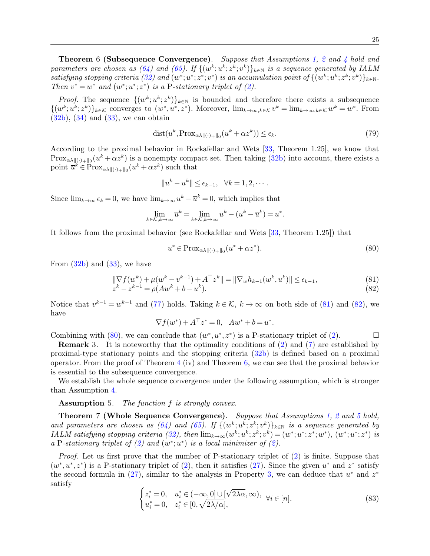Theorem 6 (Subsequence Convergence). Suppose that Assumptions [1,](#page-12-1) [2](#page-15-2) and [4](#page-21-4) hold and parameters are chosen as  $(64)$  and  $(65)$ . If  $\{(w^k; u^k; z^k; v^k)\}_{k\in\mathbb{N}}$  is a sequence generated by IALM satisfying stopping criteria [\(32\)](#page-12-5) and  $(w^*; u^*; z^*; v^*)$  is an accumulation point of  $\{(w^k; u^k; z^k; v^k)\}_{k\in\mathbb{N}}$ . Then  $v^* = w^*$  and  $(w^*; u^*; z^*)$  is a P-stationary triplet of [\(2\)](#page-0-1).

*Proof.* The sequence  $\{(w^k; u^k; z^k)\}_{k \in \mathbb{N}}$  is bounded and therefore there exists a subsequence  $\{(w^k; u^k; z^k)\}_{k\in\mathcal{K}}$  converges to  $(w^*, u^*, z^*)$ . Moreover,  $\lim_{k\to\infty, k\in\mathcal{K}} v^k = \lim_{k\to\infty, k\in\mathcal{K}} w^k = w^*$ . From  $(32b)$ ,  $(34)$  and  $(33)$ , we can obtain

$$
dist(u^k, \text{Prox}_{\alpha\lambda\parallel(\cdot)_{+}\parallel_0}(u^k + \alpha z^k)) \le \epsilon_k. \tag{79}
$$

According to the proximal behavior in Rockafellar and Wets [\[33,](#page-29-14) Theorem 1.25], we know that  ${\rm Prox}_{\alpha\lambda\|(\cdot)_+\|_0}(u^k + \alpha z^k)$  is a nonempty compact set. Then taking  $(32b)$  into account, there exists a point  $\overline{u}^k \in \text{Prox}_{\alpha \lambda \|(\cdot)_{+}\|_{0}}(u^k + \alpha z^k)$  such that

<span id="page-24-3"></span>
$$
||u^k - \overline{u}^k|| \le \epsilon_{k-1}, \quad \forall k = 1, 2, \cdots.
$$

Since  $\lim_{k\to\infty} \epsilon_k = 0$ , we have  $\lim_{k\to\infty} u^k - \overline{u}^k = 0$ , which implies that

$$
\lim_{k \in \mathcal{K}, k \to \infty} \overline{u}^k = \lim_{k \in \mathcal{K}, k \to \infty} u^k - (u^k - \overline{u}^k) = u^*.
$$

It follows from the proximal behavior (see Rockafellar and Wets [\[33,](#page-29-14) Theorem 1.25]) that

<span id="page-24-2"></span><span id="page-24-1"></span>
$$
u^* \in \text{Prox}_{\alpha\lambda \|(\cdot)_{+}\|_{0}}(u^* + \alpha z^*). \tag{80}
$$

From  $(32b)$  and  $(33)$ , we have

$$
\|\nabla f(w^k) + \mu(w^k - v^{k-1}) + A^\top z^k\| = \|\nabla_w h_{k-1}(w^k, u^k)\| \le \epsilon_{k-1},
$$
\n(81)\n
$$
z^k - z^{k-1} = \rho(Aw^k + b - u^k).
$$
\n(82)

Notice that  $v^{k-1} = w^{k-1}$  and [\(77\)](#page-23-2) holds. Taking  $k \in \mathcal{K}$ ,  $k \to \infty$  on both side of [\(81\)](#page-24-1) and [\(82\)](#page-24-2), we have

<span id="page-24-5"></span>
$$
\nabla f(w^*) + A^\top z^* = 0, \quad Aw^* + b = u^*.
$$

Combining with [\(80\)](#page-24-3), we can conclude that  $(w^*, u^*, z^*)$  is a P-stationary triplet of [\(2\)](#page-0-1).

Remark 3. It is noteworthy that the optimality conditions of [\(2\)](#page-0-1) and [\(7\)](#page-4-3) are established by proximal-type stationary points and the stopping criteria [\(32b\)](#page-12-9) is defined based on a proximal operator. From the proof of Theorem  $4$  (iv) and Theorem  $6$ , we can see that the proximal behavior is essential to the subsequence convergence.

We establish the whole sequence convergence under the following assumption, which is stronger than Assumption [4.](#page-21-4)

<span id="page-24-4"></span>Assumption 5. The function f is strongly convex.

<span id="page-24-0"></span>Theorem 7 (Whole Sequence Convergence). Suppose that Assumptions [1,](#page-12-1) [2](#page-15-2) and [5](#page-24-4) hold, and parameters are chosen as  $(64)$  and  $(65)$ . If  $\{(w^k; u^k; z^k; v^k)\}_{k\in\mathbb{N}}$  is a sequence generated by IALM satisfying stopping criteria [\(32\)](#page-12-5), then  $\lim_{k\to\infty}(w^k; u^k; z^k; v^k) = (w^*; u^*; z^*; w^*)$ ,  $(w^*; u^*; z^*)$  is a P-stationary triplet of [\(2\)](#page-0-1) and  $(w^*; u^*)$  is a local minimizer of (2).

Proof. Let us first prove that the number of P-stationary triplet of [\(2\)](#page-0-1) is finite. Suppose that  $(w^*, u^*, z^*)$  is a P-stationary triplet of [\(2\)](#page-0-1), then it satisfies [\(27\)](#page-10-3). Since the given  $u^*$  and  $z^*$  satisfy the second formula in  $(27)$ , similar to the analysis in Property [3,](#page-7-2) we can deduce that  $u^*$  and  $z^*$ satisfy ( √

$$
\begin{cases} z_i^* = 0, & u_i^* \in (-\infty, 0] \cup [\sqrt{2\lambda\alpha}, \infty), \quad \forall i \in [n].\\ u_i^* = 0, & z_i^* \in [0, \sqrt{2\lambda/\alpha}], \end{cases} \tag{83}
$$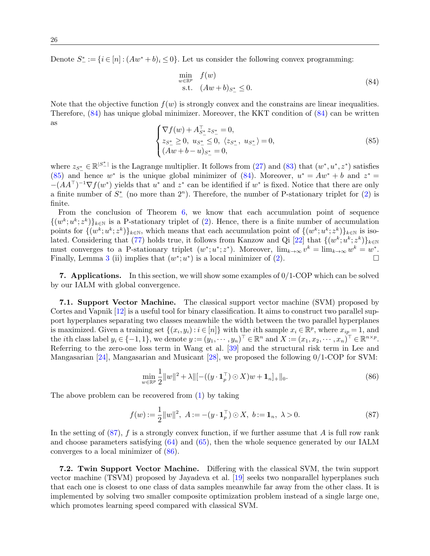Denote  $S_{-}^* := \{i \in [n] : (Aw^* + b)_i \leq 0\}$ . Let us consider the following convex programming:

<span id="page-25-1"></span>
$$
\min_{\substack{w \in \mathbb{R}^p \\ \text{s.t.} \quad (Aw + b)_{S^*_{-}} \le 0.}} f(w)
$$
\n(84)

Note that the objective function  $f(w)$  is strongly convex and the constrains are linear inequalities. Therefore, [\(84\)](#page-25-1) has unique global minimizer. Moreover, the KKT condition of [\(84\)](#page-25-1) can be written  $\overline{\phantom{a}}$  as

<span id="page-25-2"></span>
$$
\begin{cases} \nabla f(w) + A_{S^*}^T z_{S^*} = 0, \\ z_{S^*} \ge 0, \ u_{S^*} \le 0, \ \langle z_{S^*} \rangle, \ u_{S^*} \ge 0, \\ (Aw + b - u)_{S^*} = 0, \end{cases}
$$
\n(85)

where  $z_{S_{-}^*} \in \mathbb{R}^{|S_{-}^*|}$  is the Lagrange multiplier. It follows from [\(27\)](#page-10-3) and [\(83\)](#page-24-5) that  $(w^*, u^*, z^*)$  satisfies [\(85\)](#page-25-2) and hence w<sup>\*</sup> is the unique global minimizer of [\(84\)](#page-25-1). Moreover,  $u^* = Aw^* + b$  and  $z^* =$  $-(AA^{\top})^{-1}\nabla f(w^*)$  yields that  $u^*$  and  $z^*$  can be identified if  $w^*$  is fixed. Notice that there are only a finite number of  $S^*$  (no more than  $2^n$ ). Therefore, the number of P-stationary triplet for  $(2)$  is finite.

From the conclusion of Theorem [6,](#page-23-0) we know that each accumulation point of sequence  $\{(w^k; u^k; z^k)\}_{k\in\mathbb{N}}$  is a P-stationary triplet of [\(2\)](#page-0-1). Hence, there is a finite number of accumulation points for  $\{(w^k; u^k; z^k)\}_{k\in\mathbb{N}}$ , which means that each accumulation point of  $\{(w^k; u^k; z^k)\}_{k\in\mathbb{N}}$  is isolated. Considering that  $(77)$  holds true, it follows from Kanzow and Qi  $[22]$  that  $\{(w^k; u^k; z^k)\}_{k \in \mathbb{N}}$ must converges to a P-stationary triplet  $(w^*; u^*; z^*)$ . Moreover,  $\lim_{k\to\infty} v^k = \lim_{k\to\infty} w^k = w^*$ . Finally, Lemma [3](#page-10-1) (ii) implies that  $(w^*, u^*)$  is a local minimizer of [\(2\)](#page-0-1).

<span id="page-25-0"></span>**7. Applications.** In this section, we will show some examples of  $0/1$ -COP which can be solved by our IALM with global convergence.

7.1. Support Vector Machine. The classical support vector machine (SVM) proposed by Cortes and Vapnik [\[12\]](#page-28-17) is a useful tool for binary classification. It aims to construct two parallel support hyperplanes separating two classes meanwhile the width between the two parallel hyperplanes is maximized. Given a training set  $\{(x_i, y_i) : i \in [n]\}$  with the *i*<sup>th</sup> sample  $x_i \in \mathbb{R}^p$ , where  $x_{ip} = 1$ , and the *i*th class label  $y_i \in \{-1, 1\}$ , we denote  $y := (y_1, \dots, y_n)^\top \in \mathbb{R}^n$  and  $X := (x_1, x_2, \dots, x_n)^\top \in \mathbb{R}^{n \times p}$ . Referring to the zero-one loss term in Wang et al. [\[39\]](#page-29-13) and the structural risk term in Lee and Mangasarian [\[24\]](#page-29-17), Mangasarian and Musicant [\[28\]](#page-29-18), we proposed the following 0/1-COP for SVM:

<span id="page-25-4"></span>
$$
\min_{w \in \mathbb{R}^p} \frac{1}{2} \|w\|^2 + \lambda \|\left[ -((y \cdot \mathbf{1}_p^\top) \odot X)w + \mathbf{1}_n \right]_+\|_0. \tag{86}
$$

The above problem can be recovered from [\(1\)](#page-0-0) by taking

<span id="page-25-3"></span>
$$
f(w) := \frac{1}{2} ||w||^2, \ A := -(y \cdot \mathbf{1}_p^\top) \odot X, \ b := \mathbf{1}_n, \ \lambda > 0. \tag{87}
$$

In the setting of  $(87)$ , f is a strongly convex function, if we further assume that A is full row rank and choose parameters satisfying [\(64\)](#page-20-1) and [\(65\)](#page-20-2), then the whole sequence generated by our IALM converges to a local minimizer of [\(86\)](#page-25-4).

7.2. Twin Support Vector Machine. Differing with the classical SVM, the twin support vector machine (TSVM) proposed by Jayadeva et al. [\[19\]](#page-28-18) seeks two nonparallel hyperplanes such that each one is closest to one class of data samples meanwhile far away from the other class. It is implemented by solving two smaller composite optimization problem instead of a single large one, which promotes learning speed compared with classical SVM.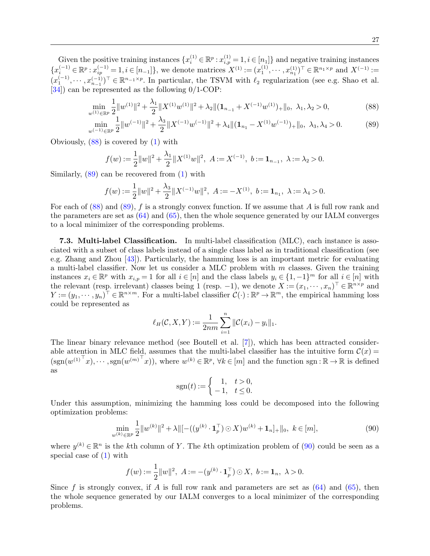Given the positive training instances  $\{x_i^{(1)} \in \mathbb{R}^p : x_{i,p}^{(1)} = 1, i \in [n_1]\}$  and negative training instances  ${x_i^{(-1)} \in \mathbb{R}^p : x_{ip}^{(-1)} = 1, i \in [n-1]}$ , we denote matrices  $X^{(1)} := (x_1^{(1)}, \dots, x_{n_1}^{(1)})^\top \in \mathbb{R}^{n_1 \times p}$  and  $X^{(-1)} :=$  $(x_1^{(-1)}, \dots, x_{n-1}^{(-1)})^{\top} \in \mathbb{R}^{n-1 \times p}$ . In particular, the TSVM with  $\ell_2$  regularization (see e.g. Shao et al. [\[34\]](#page-29-19)) can be represented as the following 0/1-COP:

$$
\min_{w^{(1)} \in \mathbb{R}^p} \frac{1}{2} \|w^{(1)}\|^2 + \frac{\lambda_1}{2} \|X^{(1)}w^{(1)}\|^2 + \lambda_2 \|(1_{n_{-1}} + X^{(-1)}w^{(1)})_+\|_0, \ \lambda_1, \lambda_2 > 0,\tag{88}
$$

$$
\min_{w^{(-1)} \in \mathbb{R}^p} \frac{1}{2} \|w^{(-1)}\|^2 + \frac{\lambda_3}{2} \|X^{(-1)}w^{(-1)}\|^2 + \lambda_4 \|(1_{n_1} - X^{(1)}w^{(-1)})_+\|_0, \ \lambda_3, \lambda_4 > 0. \tag{89}
$$

Obviously, [\(88\)](#page-26-0) is covered by [\(1\)](#page-0-0) with

<span id="page-26-2"></span><span id="page-26-1"></span><span id="page-26-0"></span>
$$
f(w) := \frac{1}{2} ||w||^2 + \frac{\lambda_1}{2} ||X^{(1)}w||^2, \ A := X^{(-1)}, \ b := \mathbf{1}_{n-1}, \ \lambda := \lambda_2 > 0.
$$

Similarly,  $(89)$  can be recovered from  $(1)$  with

$$
f(w) := \frac{1}{2} ||w||^2 + \frac{\lambda_3}{2} ||X^{(-1)}w||^2, \ A := -X^{(1)}, \ b := \mathbf{1}_{n_1}, \ \lambda := \lambda_4 > 0.
$$

For each of  $(88)$  and  $(89)$ , f is a strongly convex function. If we assume that A is full row rank and the parameters are set as [\(64\)](#page-20-1) and [\(65\)](#page-20-2), then the whole sequence generated by our IALM converges to a local minimizer of the corresponding problems.

7.3. Multi-label Classification. In multi-label classification (MLC), each instance is associated with a subset of class labels instead of a single class label as in traditional classification (see e.g. Zhang and Zhou [\[43\]](#page-29-20)). Particularly, the hamming loss is an important metric for evaluating a multi-label classifier. Now let us consider a MLC problem with  $m$  classes. Given the training instances  $x_i \in \mathbb{R}^p$  with  $x_{i,p} = 1$  for all  $i \in [n]$  and the class labels  $y_i \in \{1, -1\}^m$  for all  $i \in [n]$  with the relevant (resp. irrelevant) classes being 1 (resp. -1), we denote  $X := (x_1, \dots, x_n)^\top \in \mathbb{R}^{n \times p}$  and  $Y := (y_1, \dots, y_n)^\top \in \mathbb{R}^{n \times m}$ . For a multi-label classifier  $\mathcal{C}(\cdot) : \mathbb{R}^p \to \mathbb{R}^m$ , the empirical hamming loss could be represented as

$$
\ell_H(C, X, Y) := \frac{1}{2nm} \sum_{i=1}^n ||C(x_i) - y_i||_1.
$$

The linear binary relevance method (see Boutell et al. [\[7\]](#page-28-19)), which has been attracted considerable attention in MLC field, assumes that the multi-label classifier has the intuitive form  $\mathcal{C}(x)$  $(\text{sgn}(w^{(1)^\top}x), \cdots, \text{sgn}(w^{(m)^\top}x)),$  where  $w^{(k)} \in \mathbb{R}^p$ ,  $\forall k \in [m]$  and the function sgn:  $\mathbb{R} \to \mathbb{R}$  is defined as

$$
sgn(t) := \begin{cases} 1, & t > 0, \\ -1, & t \le 0. \end{cases}
$$

Under this assumption, minimizing the hamming loss could be decomposed into the following optimization problems:

$$
\min_{w^{(k)} \in \mathbb{R}^p} \frac{1}{2} \|w^{(k)}\|^2 + \lambda \|\left[ -((y^{(k)} \cdot \mathbf{1}_p^{\top}) \odot X) w^{(k)} + \mathbf{1}_n\right]_+\|_0, \ k \in [m],\tag{90}
$$

where  $y^{(k)} \in \mathbb{R}^n$  is the kth column of Y. The kth optimization problem of [\(90\)](#page-26-2) could be seen as a special case of [\(1\)](#page-0-0) with

$$
f(w) := \frac{1}{2} ||w||^2, \ A := -(y^{(k)} \cdot \mathbf{1}_p^{\top}) \odot X, \ b := \mathbf{1}_n, \ \lambda > 0.
$$

Since f is strongly convex, if A is full row rank and parameters are set as  $(64)$  and  $(65)$ , then the whole sequence generated by our IALM converges to a local minimizer of the corresponding problems.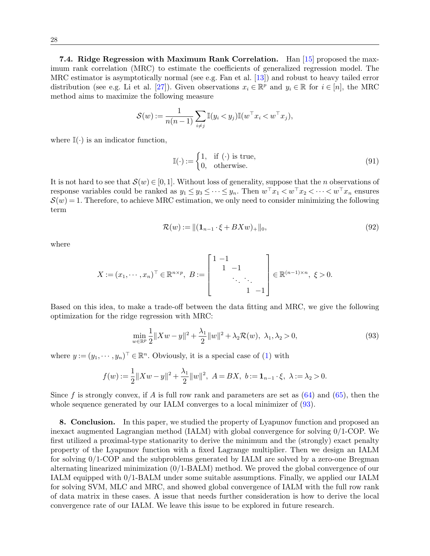7.4. Ridge Regression with Maximum Rank Correlation. Han [\[15\]](#page-28-20) proposed the maximum rank correlation (MRC) to estimate the coefficients of generalized regression model. The MRC estimator is asymptotically normal (see e.g. Fan et al. [\[13\]](#page-28-21)) and robust to heavy tailed error distribution (see e.g. Li et al. [\[27\]](#page-29-21)). Given observations  $x_i \in \mathbb{R}^p$  and  $y_i \in \mathbb{R}$  for  $i \in [n]$ , the MRC method aims to maximize the following measure

$$
\mathcal{S}(w) := \frac{1}{n(n-1)} \sum_{i \neq j} \mathbb{I}(y_i < y_j) \mathbb{I}(w^\top x_i < w^\top x_j),
$$

where  $\mathbb{I}(\cdot)$  is an indicator function,

$$
\mathbb{I}(\cdot) := \begin{cases} 1, & \text{if } (\cdot) \text{ is true,} \\ 0, & \text{otherwise.} \end{cases} \tag{91}
$$

It is not hard to see that  $S(w) \in [0,1]$ . Without loss of generality, suppose that the *n* observations of response variables could be ranked as  $y_1 \leq y_3 \leq \cdots \leq y_n$ . Then  $w^{\top} x_1 < w^{\top} x_2 < \cdots < w^{\top} x_n$  ensures  $S(w) = 1$ . Therefore, to achieve MRC estimation, we only need to consider minimizing the following term

<span id="page-27-0"></span>
$$
\mathcal{R}(w) := \| (\mathbf{1}_{n-1} \cdot \xi + BXw)_+ \|_0,\tag{92}
$$

where

$$
X := (x_1, \dots, x_n)^\top \in \mathbb{R}^{n \times p}, \ B := \begin{bmatrix} 1 & -1 & & \\ & 1 & -1 & \\ & & \ddots & \ddots \\ & & & 1 & -1 \end{bmatrix} \in \mathbb{R}^{(n-1)\times n}, \ \xi > 0.
$$

Based on this idea, to make a trade-off between the data fitting and MRC, we give the following optimization for the ridge regression with MRC:

$$
\min_{w \in \mathbb{R}^p} \frac{1}{2} \|Xw - y\|^2 + \frac{\lambda_1}{2} \|w\|^2 + \lambda_2 \mathcal{R}(w), \ \lambda_1, \lambda_2 > 0,
$$
\n(93)

where  $y := (y_1, \dots, y_n)^\top \in \mathbb{R}^n$ . Obviously, it is a special case of [\(1\)](#page-0-0) with

$$
f(w) := \frac{1}{2} ||Xw - y||^2 + \frac{\lambda_1}{2} ||w||^2, \ A = BX, \ b := \mathbf{1}_{n-1} \cdot \xi, \ \lambda := \lambda_2 > 0.
$$

Since f is strongly convex, if A is full row rank and parameters are set as  $(64)$  and  $(65)$ , then the whole sequence generated by our IALM converges to a local minimizer of  $(93)$ .

8. Conclusion. In this paper, we studied the property of Lyapunov function and proposed an inexact augmented Lagrangian method (IALM) with global convergence for solving 0/1-COP. We first utilized a proximal-type stationarity to derive the minimum and the (strongly) exact penalty property of the Lyapunov function with a fixed Lagrange multiplier. Then we design an IALM for solving 0/1-COP and the subproblems generated by IALM are solved by a zero-one Bregman alternating linearized minimization (0/1-BALM) method. We proved the global convergence of our IALM equipped with 0/1-BALM under some suitable assumptions. Finally, we applied our IALM for solving SVM, MLC and MRC, and showed global convergence of IALM with the full row rank of data matrix in these cases. A issue that needs further consideration is how to derive the local convergence rate of our IALM. We leave this issue to be explored in future research.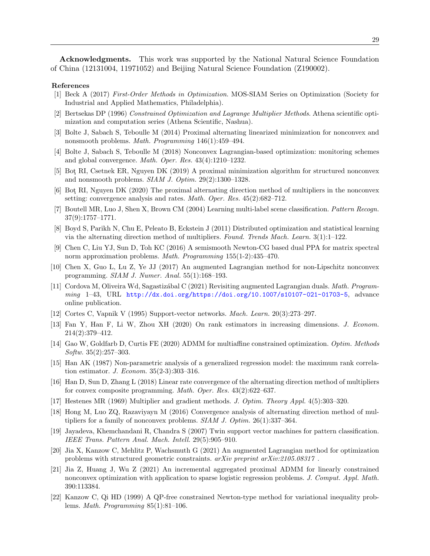Acknowledgments. This work was supported by the National Natural Science Foundation of China (12131004, 11971052) and Beijing Natural Science Foundation (Z190002).

## References

- <span id="page-28-15"></span>[1] Beck A (2017) First-Order Methods in Optimization. MOS-SIAM Series on Optimization (Society for Industrial and Applied Mathematics, Philadelphia).
- <span id="page-28-1"></span>[2] Bertsekas DP (1996) Constrained Optimization and Lagrange Multiplier Methods. Athena scientific optimization and computation series (Athena Scientific, Nashua).
- <span id="page-28-14"></span>[3] Bolte J, Sabach S, Teboulle M (2014) Proximal alternating linearized minimization for nonconvex and nonsmooth problems. Math. Programming 146(1):459–494.
- <span id="page-28-12"></span>[4] Bolte J, Sabach S, Teboulle M (2018) Nonconvex Lagrangian-based optimization: monitoring schemes and global convergence. Math. Oper. Res. 43(4):1210–1232.
- <span id="page-28-9"></span>[5] Bot¸ RI, Csetnek ER, Nguyen DK (2019) A proximal minimization algorithm for structured nonconvex and nonsmooth problems. SIAM J. Optim. 29(2):1300–1328.
- <span id="page-28-8"></span>[6] Bot¸ RI, Nguyen DK (2020) The proximal alternating direction method of multipliers in the nonconvex setting: convergence analysis and rates. *Math. Oper. Res.* 45(2):682–712.
- <span id="page-28-19"></span>[7] Boutell MR, Luo J, Shen X, Brown CM (2004) Learning multi-label scene classification. Pattern Recogn. 37(9):1757–1771.
- <span id="page-28-7"></span>[8] Boyd S, Parikh N, Chu E, Peleato B, Eckstein J (2011) Distributed optimization and statistical learning via the alternating direction method of multipliers. Found. Trends Mach. Learn. 3(1):1–122.
- <span id="page-28-2"></span>[9] Chen C, Liu YJ, Sun D, Toh KC (2016) A semismooth Newton-CG based dual PPA for matrix spectral norm approximation problems. Math. Programming 155(1-2):435–470.
- <span id="page-28-3"></span>[10] Chen X, Guo L, Lu Z, Ye JJ (2017) An augmented Lagrangian method for non-Lipschitz nonconvex programming. SIAM J. Numer. Anal. 55(1):168–193.
- <span id="page-28-4"></span>[11] Cordova M, Oliveira Wd, Sagastiz´abal C (2021) Revisiting augmented Lagrangian duals. Math. Programming 1–43, URL <http://dx.doi.org/https://doi.org/10.1007/s10107-021-01703-5>, advance online publication.
- <span id="page-28-17"></span>[12] Cortes C, Vapnik V (1995) Support-vector networks. Mach. Learn. 20(3):273–297.
- <span id="page-28-21"></span>[13] Fan Y, Han F, Li W, Zhou XH (2020) On rank estimators in increasing dimensions. J. Econom. 214(2):379–412.
- <span id="page-28-11"></span>[14] Gao W, Goldfarb D, Curtis FE (2020) ADMM for multiaffine constrained optimization. Optim. Methods Softw. 35(2):257–303.
- <span id="page-28-20"></span>[15] Han AK (1987) Non-parametric analysis of a generalized regression model: the maximum rank correlation estimator. J. Econom. 35(2-3):303–316.
- <span id="page-28-6"></span>[16] Han D, Sun D, Zhang L (2018) Linear rate convergence of the alternating direction method of multipliers for convex composite programming. Math. Oper. Res. 43(2):622–637.
- <span id="page-28-0"></span>[17] Hestenes MR (1969) Multiplier and gradient methods. J. Optim. Theory Appl. 4(5):303–320.
- <span id="page-28-13"></span>[18] Hong M, Luo ZQ, Razaviyayn M (2016) Convergence analysis of alternating direction method of multipliers for a family of nonconvex problems. SIAM J. Optim. 26(1):337–364.
- <span id="page-28-18"></span>[19] Jayadeva, Khemchandani R, Chandra S (2007) Twin support vector machines for pattern classification. IEEE Trans. Pattern Anal. Mach. Intell. 29(5):905–910.
- <span id="page-28-5"></span>[20] Jia X, Kanzow C, Mehlitz P, Wachsmuth G (2021) An augmented Lagrangian method for optimization problems with structured geometric constraints. arXiv preprint arXiv:2105.08317 .
- <span id="page-28-10"></span>[21] Jia Z, Huang J, Wu Z (2021) An incremental aggregated proximal ADMM for linearly constrained nonconvex optimization with application to sparse logistic regression problems. J. Comput. Appl. Math. 390:113384.
- <span id="page-28-16"></span>[22] Kanzow C, Qi HD (1999) A QP-free constrained Newton-type method for variational inequality problems. Math. Programming 85(1):81–106.